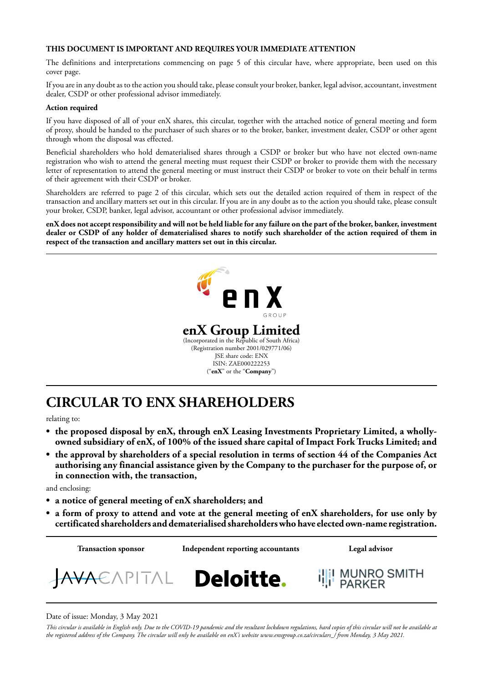### **THIS DOCUMENT IS IMPORTANT AND REQUIRES YOUR IMMEDIATE ATTENTION**

The definitions and interpretations commencing on page 5 of this circular have, where appropriate, been used on this cover page.

If you are in any doubt as to the action you should take, please consult your broker, banker, legal advisor, accountant, investment dealer, CSDP or other professional advisor immediately.

### **Action required**

If you have disposed of all of your enX shares, this circular, together with the attached notice of general meeting and form of proxy, should be handed to the purchaser of such shares or to the broker, banker, investment dealer, CSDP or other agent through whom the disposal was effected.

Beneficial shareholders who hold dematerialised shares through a CSDP or broker but who have not elected own-name registration who wish to attend the general meeting must request their CSDP or broker to provide them with the necessary letter of representation to attend the general meeting or must instruct their CSDP or broker to vote on their behalf in terms of their agreement with their CSDP or broker.

Shareholders are referred to page 2 of this circular, which sets out the detailed action required of them in respect of the transaction and ancillary matters set out in this circular. If you are in any doubt as to the action you should take, please consult your broker, CSDP, banker, legal advisor, accountant or other professional advisor immediately.

**enX does not accept responsibility and will not be held liable for any failure on the part of the broker, banker, investment dealer or CSDP of any holder of dematerialised shares to notify such shareholder of the action required of them in respect of the transaction and ancillary matters set out in this circular.**



# **CIRCULAR TO ENX SHAREHOLDERS**

relating to:

- **• the proposed disposal by enX, through enX Leasing Investments Proprietary Limited, a whollyowned subsidiary of enX, of 100% of the issued share capital of Impact Fork Trucks Limited; and**
- **• the approval by shareholders of a special resolution in terms of section 44 of the Companies Act authorising any financial assistance given by the Company to the purchaser for the purpose of, or in connection with, the transaction,**

and enclosing:

- **• a notice of general meeting of enX shareholders; and**
- **• a form of proxy to attend and vote at the general meeting of enX shareholders, for use only by certificated shareholders and dematerialised shareholders who have elected own-name registration.**

**Transaction sponsor Independent reporting accountants Legal advisor**





**III** MUNRO SMITH

### Date of issue: Monday, 3 May 2021

*This circular is available in English only. Due to the COVID-19 pandemic and the resultant lockdown regulations, hard copies of this circular will not be available at the registered address of the Company. The circular will only be available on enX's website www.enxgroup.co.za/circulars\_/ from Monday, 3 May 2021.*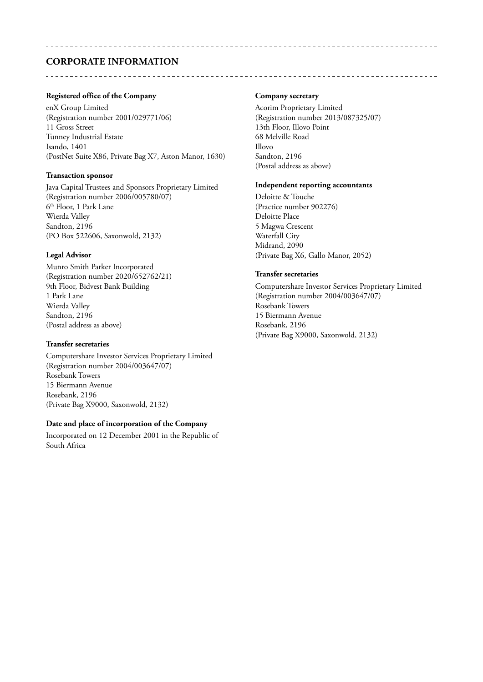# **CORPORATE INFORMATION**

### **Registered office of the Company**

enX Group Limited (Registration number 2001/029771/06) 11 Gross Street Tunney Industrial Estate Isando, 1401 (PostNet Suite X86, Private Bag X7, Aston Manor, 1630)

### **Transaction sponsor**

Java Capital Trustees and Sponsors Proprietary Limited (Registration number 2006/005780/07) 6th Floor, 1 Park Lane Wierda Valley Sandton, 2196 (PO Box 522606, Saxonwold, 2132)

### **Legal Advisor**

Munro Smith Parker Incorporated (Registration number 2020/652762/21) 9th Floor, Bidvest Bank Building 1 Park Lane Wierda Valley Sandton, 2196 (Postal address as above)

### **Transfer secretaries**

Computershare Investor Services Proprietary Limited (Registration number 2004/003647/07) Rosebank Towers 15 Biermann Avenue Rosebank, 2196 (Private Bag X9000, Saxonwold, 2132)

## **Date and place of incorporation of the Company**

Incorporated on 12 December 2001 in the Republic of South Africa

### **Company secretary**

Acorim Proprietary Limited (Registration number 2013/087325/07) 13th Floor, Illovo Point 68 Melville Road Illovo Sandton, 2196 (Postal address as above)

### **Independent reporting accountants**

Deloitte & Touche (Practice number 902276) Deloitte Place 5 Magwa Crescent Waterfall City Midrand, 2090 (Private Bag X6, Gallo Manor, 2052)

### **Transfer secretaries**

Computershare Investor Services Proprietary Limited (Registration number 2004/003647/07) Rosebank Towers 15 Biermann Avenue Rosebank, 2196 (Private Bag X9000, Saxonwold, 2132)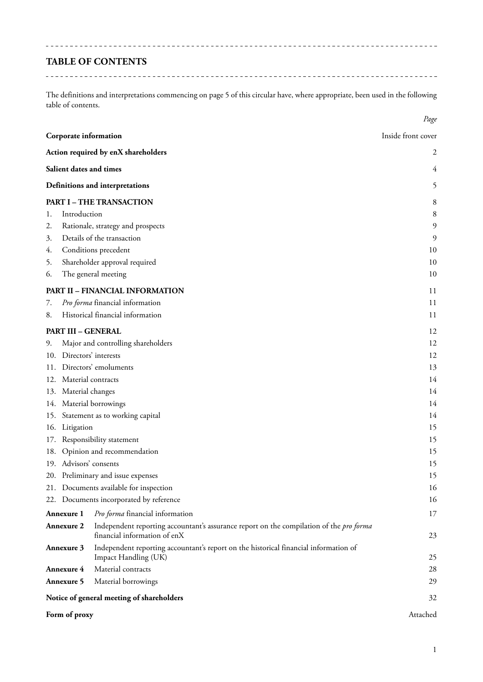# **TABLE OF CONTENTS**

The definitions and interpretations commencing on page 5 of this circular have, where appropriate, been used in the following table of contents.

|                                             |                                               |                                                                                                                         | Page |  |  |
|---------------------------------------------|-----------------------------------------------|-------------------------------------------------------------------------------------------------------------------------|------|--|--|
| Inside front cover<br>Corporate information |                                               |                                                                                                                         |      |  |  |
|                                             |                                               | Action required by enX shareholders                                                                                     | 2    |  |  |
|                                             | Salient dates and times                       |                                                                                                                         | 4    |  |  |
|                                             |                                               | Definitions and interpretations                                                                                         | 5    |  |  |
|                                             |                                               | <b>PART I - THE TRANSACTION</b>                                                                                         | 8    |  |  |
| 1.                                          | Introduction                                  |                                                                                                                         | 8    |  |  |
| 2.                                          |                                               | Rationale, strategy and prospects                                                                                       | 9    |  |  |
| 3.                                          |                                               | Details of the transaction                                                                                              | 9    |  |  |
| 4.                                          |                                               | Conditions precedent                                                                                                    | 10   |  |  |
| 5.                                          |                                               | Shareholder approval required                                                                                           | 10   |  |  |
| 6.                                          |                                               | The general meeting                                                                                                     | 10   |  |  |
|                                             |                                               | PART II - FINANCIAL INFORMATION                                                                                         | 11   |  |  |
| 7.                                          |                                               | Pro forma financial information                                                                                         | 11   |  |  |
| 8.                                          |                                               | Historical financial information                                                                                        | 11   |  |  |
|                                             | <b>PART III - GENERAL</b>                     |                                                                                                                         | 12   |  |  |
| 9.                                          |                                               | Major and controlling shareholders                                                                                      | 12   |  |  |
|                                             | 10. Directors' interests                      |                                                                                                                         | 12   |  |  |
|                                             |                                               | 11. Directors' emoluments                                                                                               | 13   |  |  |
|                                             | 12. Material contracts                        |                                                                                                                         | 14   |  |  |
|                                             | 13. Material changes                          |                                                                                                                         | 14   |  |  |
|                                             |                                               | 14. Material borrowings                                                                                                 | 14   |  |  |
|                                             |                                               | 15. Statement as to working capital                                                                                     | 14   |  |  |
|                                             | 16. Litigation                                |                                                                                                                         | 15   |  |  |
|                                             |                                               | 17. Responsibility statement                                                                                            | 15   |  |  |
|                                             |                                               | 18. Opinion and recommendation                                                                                          | 15   |  |  |
|                                             | 19. Advisors' consents                        |                                                                                                                         | 15   |  |  |
|                                             |                                               | 20. Preliminary and issue expenses                                                                                      | 15   |  |  |
|                                             |                                               | 21. Documents available for inspection                                                                                  | 16   |  |  |
|                                             | 22. Documents incorporated by reference<br>16 |                                                                                                                         |      |  |  |
|                                             | Annexure 1                                    | Pro forma financial information                                                                                         | 17   |  |  |
|                                             | Annexure 2                                    | Independent reporting accountant's assurance report on the compilation of the pro forma<br>financial information of enX | 23   |  |  |
|                                             | Annexure 3                                    | Independent reporting accountant's report on the historical financial information of<br>Impact Handling (UK)            | 25   |  |  |
|                                             | Annexure 4                                    | Material contracts                                                                                                      | 28   |  |  |
|                                             | <b>Annexure 5</b>                             | Material borrowings                                                                                                     | 29   |  |  |
|                                             |                                               | Notice of general meeting of shareholders                                                                               | 32   |  |  |

# **Form of proxy** Attached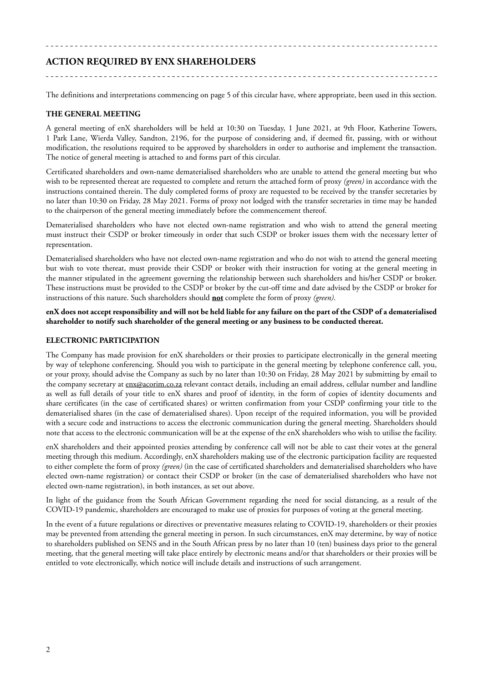# **ACTION REQUIRED BY ENX SHAREHOLDERS**

The definitions and interpretations commencing on page 5 of this circular have, where appropriate, been used in this section.

## **THE GENERAL MEETING**

A general meeting of enX shareholders will be held at 10:30 on Tuesday, 1 June 2021, at 9th Floor, Katherine Towers, 1 Park Lane, Wierda Valley, Sandton, 2196, for the purpose of considering and, if deemed fit, passing, with or without modification, the resolutions required to be approved by shareholders in order to authorise and implement the transaction. The notice of general meeting is attached to and forms part of this circular.

Certificated shareholders and own-name dematerialised shareholders who are unable to attend the general meeting but who wish to be represented thereat are requested to complete and return the attached form of proxy *(green)* in accordance with the instructions contained therein. The duly completed forms of proxy are requested to be received by the transfer secretaries by no later than 10:30 on Friday, 28 May 2021. Forms of proxy not lodged with the transfer secretaries in time may be handed to the chairperson of the general meeting immediately before the commencement thereof.

Dematerialised shareholders who have not elected own-name registration and who wish to attend the general meeting must instruct their CSDP or broker timeously in order that such CSDP or broker issues them with the necessary letter of representation.

Dematerialised shareholders who have not elected own-name registration and who do not wish to attend the general meeting but wish to vote thereat, must provide their CSDP or broker with their instruction for voting at the general meeting in the manner stipulated in the agreement governing the relationship between such shareholders and his/her CSDP or broker. These instructions must be provided to the CSDP or broker by the cut-off time and date advised by the CSDP or broker for instructions of this nature. Such shareholders should **not** complete the form of proxy *(green)*.

### **enX does not accept responsibility and will not be held liable for any failure on the part of the CSDP of a dematerialised shareholder to notify such shareholder of the general meeting or any business to be conducted thereat.**

### **ELECTRONIC PARTICIPATION**

The Company has made provision for enX shareholders or their proxies to participate electronically in the general meeting by way of telephone conferencing. Should you wish to participate in the general meeting by telephone conference call, you, or your proxy, should advise the Company as such by no later than 10:30 on Friday, 28 May 2021 by submitting by email to the company secretary at enx@acorim.co.za relevant contact details, including an email address, cellular number and landline as well as full details of your title to enX shares and proof of identity, in the form of copies of identity documents and share certificates (in the case of certificated shares) or written confirmation from your CSDP confirming your title to the dematerialised shares (in the case of dematerialised shares). Upon receipt of the required information, you will be provided with a secure code and instructions to access the electronic communication during the general meeting. Shareholders should note that access to the electronic communication will be at the expense of the enX shareholders who wish to utilise the facility.

enX shareholders and their appointed proxies attending by conference call will not be able to cast their votes at the general meeting through this medium. Accordingly, enX shareholders making use of the electronic participation facility are requested to either complete the form of proxy *(green)* (in the case of certificated shareholders and dematerialised shareholders who have elected own-name registration) or contact their CSDP or broker (in the case of dematerialised shareholders who have not elected own-name registration), in both instances, as set out above.

In light of the guidance from the South African Government regarding the need for social distancing, as a result of the COVID-19 pandemic, shareholders are encouraged to make use of proxies for purposes of voting at the general meeting.

In the event of a future regulations or directives or preventative measures relating to COVID-19, shareholders or their proxies may be prevented from attending the general meeting in person. In such circumstances, enX may determine, by way of notice to shareholders published on SENS and in the South African press by no later than 10 (ten) business days prior to the general meeting, that the general meeting will take place entirely by electronic means and/or that shareholders or their proxies will be entitled to vote electronically, which notice will include details and instructions of such arrangement.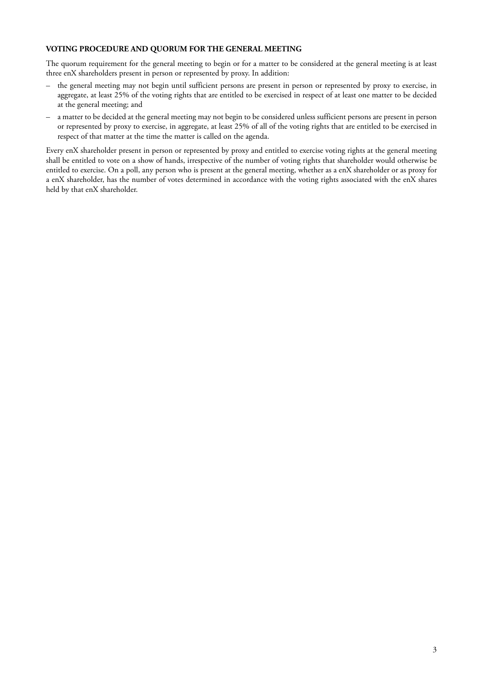### **VOTING PROCEDURE AND QUORUM FOR THE GENERAL MEETING**

The quorum requirement for the general meeting to begin or for a matter to be considered at the general meeting is at least three enX shareholders present in person or represented by proxy. In addition:

- the general meeting may not begin until sufficient persons are present in person or represented by proxy to exercise, in aggregate, at least 25% of the voting rights that are entitled to be exercised in respect of at least one matter to be decided at the general meeting; and
- a matter to be decided at the general meeting may not begin to be considered unless sufficient persons are present in person or represented by proxy to exercise, in aggregate, at least 25% of all of the voting rights that are entitled to be exercised in respect of that matter at the time the matter is called on the agenda.

Every enX shareholder present in person or represented by proxy and entitled to exercise voting rights at the general meeting shall be entitled to vote on a show of hands, irrespective of the number of voting rights that shareholder would otherwise be entitled to exercise. On a poll, any person who is present at the general meeting, whether as a enX shareholder or as proxy for a enX shareholder, has the number of votes determined in accordance with the voting rights associated with the enX shares held by that enX shareholder.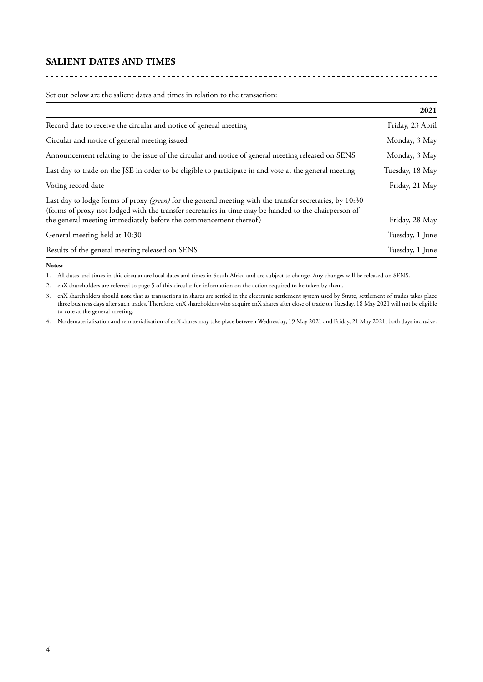# **SALIENT DATES AND TIMES**

Set out below are the salient dates and times in relation to the transaction:

|                                                                                                                                                                                                                                                                                      | 2021             |
|--------------------------------------------------------------------------------------------------------------------------------------------------------------------------------------------------------------------------------------------------------------------------------------|------------------|
| Record date to receive the circular and notice of general meeting                                                                                                                                                                                                                    | Friday, 23 April |
| Circular and notice of general meeting issued                                                                                                                                                                                                                                        | Monday, 3 May    |
| Announcement relating to the issue of the circular and notice of general meeting released on SENS                                                                                                                                                                                    | Monday, 3 May    |
| Last day to trade on the JSE in order to be eligible to participate in and vote at the general meeting                                                                                                                                                                               | Tuesday, 18 May  |
| Voting record date                                                                                                                                                                                                                                                                   | Friday, 21 May   |
| Last day to lodge forms of proxy (green) for the general meeting with the transfer secretaries, by 10:30<br>(forms of proxy not lodged with the transfer secretaries in time may be handed to the chairperson of<br>the general meeting immediately before the commencement thereof) | Friday, 28 May   |
| General meeting held at 10:30                                                                                                                                                                                                                                                        | Tuesday, 1 June  |
| Results of the general meeting released on SENS                                                                                                                                                                                                                                      | Tuesday, 1 June  |

### **Notes:**

1. All dates and times in this circular are local dates and times in South Africa and are subject to change. Any changes will be released on SENS.

2. enX shareholders are referred to page 5 of this circular for information on the action required to be taken by them.

3. enX shareholders should note that as transactions in shares are settled in the electronic settlement system used by Strate, settlement of trades takes place three business days after such trades. Therefore, enX shareholders who acquire enX shares after close of trade on Tuesday, 18 May 2021 will not be eligible to vote at the general meeting.

4. No dematerialisation and rematerialisation of enX shares may take place between Wednesday, 19 May 2021 and Friday, 21 May 2021, both days inclusive.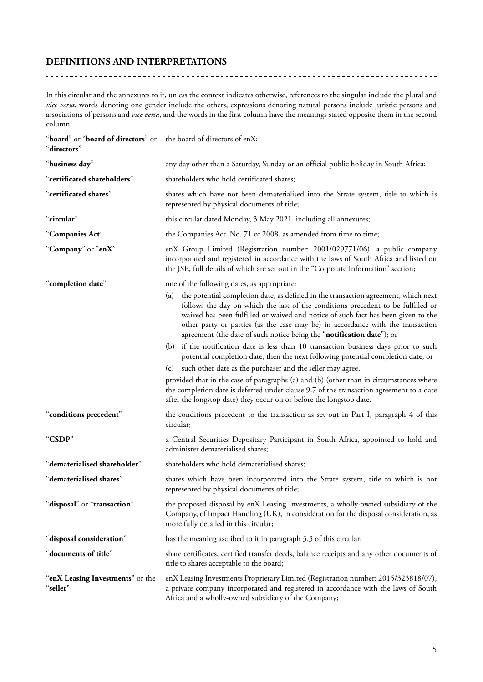# **DEFINITIONS AND INTERPRETATIONS**

"**seller**"

In this circular and the annexures to it, unless the context indicates otherwise, references to the singular include the plural and *vice versa*, words denoting one gender include the others, expressions denoting natural persons include juristic persons and associations of persons and *vice versa*, and the words in the first column have the meanings stated opposite them in the second column.

"**board**" or "**board of directors**" or the board of directors of enX; "**directors**" "**business day**" any day other than a Saturday, Sunday or an official public holiday in South Africa; "**certificated shareholders**" shareholders who hold certificated shares; "**certificated shares**" shares which have not been dematerialised into the Strate system, title to which is represented by physical documents of title; "**circular**" this circular dated Monday, 3 May 2021, including all annexures; "**Companies Act**" the Companies Act, No. 71 of 2008, as amended from time to time; "**Company**" or "**enX**" enX Group Limited (Registration number: 2001/029771/06), a public company incorporated and registered in accordance with the laws of South Africa and listed on the JSE, full details of which are set out in the "Corporate Information" section; "**completion date**" one of the following dates, as appropriate: (a) the potential completion date, as defined in the transaction agreement, which next follows the day on which the last of the conditions precedent to be fulfilled or waived has been fulfilled or waived and notice of such fact has been given to the other party or parties (as the case may be) in accordance with the transaction agreement (the date of such notice being the "**notification date**"); or (b) if the notification date is less than 10 transaction business days prior to such potential completion date, then the next following potential completion date; or (c) such other date as the purchaser and the seller may agree, provided that in the case of paragraphs (a) and (b) (other than in circumstances where the completion date is deferred under clause 9.7 of the transaction agreement to a date after the longstop date) they occur on or before the longstop date. "**conditions precedent**" the conditions precedent to the transaction as set out in Part I, paragraph 4 of this circular; "**CSDP**" a Central Securities Depositary Participant in South Africa, appointed to hold and administer dematerialised shares; "**dematerialised shareholder**" shareholders who hold dematerialised shares; "**dematerialised shares**" shares which have been incorporated into the Strate system, title to which is not represented by physical documents of title; "**disposal**" or "**transaction**" the proposed disposal by enX Leasing Investments, a wholly-owned subsidiary of the Company, of Impact Handling (UK), in consideration for the disposal consideration, as more fully detailed in this circular; "**disposal consideration**" has the meaning ascribed to it in paragraph 3.3 of this circular; "**documents of title**" share certificates, certified transfer deeds, balance receipts and any other documents of title to shares acceptable to the board; "**enX Leasing Investments**" or the enX Leasing Investments Proprietary Limited (Registration number: 2015/323818/07),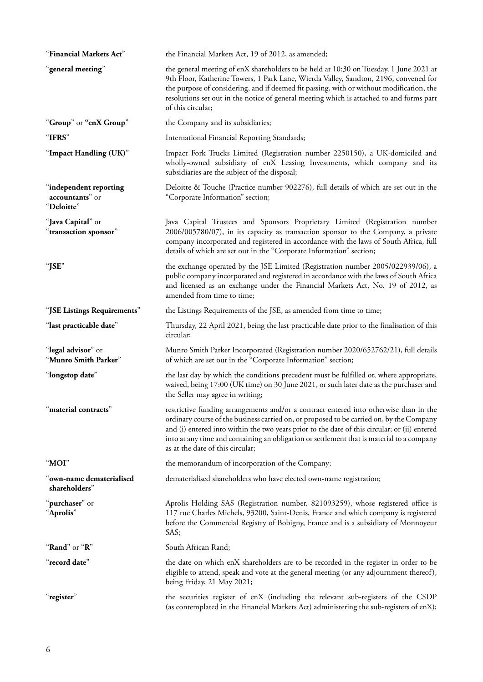| "Financial Markets Act"                                 | the Financial Markets Act, 19 of 2012, as amended;                                                                                                                                                                                                                                                                                                                                                                  |
|---------------------------------------------------------|---------------------------------------------------------------------------------------------------------------------------------------------------------------------------------------------------------------------------------------------------------------------------------------------------------------------------------------------------------------------------------------------------------------------|
| "general meeting"                                       | the general meeting of enX shareholders to be held at 10:30 on Tuesday, 1 June 2021 at<br>9th Floor, Katherine Towers, 1 Park Lane, Wierda Valley, Sandton, 2196, convened for<br>the purpose of considering, and if deemed fit passing, with or without modification, the<br>resolutions set out in the notice of general meeting which is attached to and forms part<br>of this circular;                         |
| "Group" or "enX Group"                                  | the Company and its subsidiaries;                                                                                                                                                                                                                                                                                                                                                                                   |
| "IFRS"                                                  | International Financial Reporting Standards;                                                                                                                                                                                                                                                                                                                                                                        |
| "Impact Handling (UK)"                                  | Impact Fork Trucks Limited (Registration number 2250150), a UK-domiciled and<br>wholly-owned subsidiary of enX Leasing Investments, which company and its<br>subsidiaries are the subject of the disposal;                                                                                                                                                                                                          |
| "independent reporting<br>accountants" or<br>"Deloitte" | Deloitte & Touche (Practice number 902276), full details of which are set out in the<br>"Corporate Information" section;                                                                                                                                                                                                                                                                                            |
| "Java Capital" or<br>"transaction sponsor"              | Java Capital Trustees and Sponsors Proprietary Limited (Registration number<br>2006/005780/07), in its capacity as transaction sponsor to the Company, a private<br>company incorporated and registered in accordance with the laws of South Africa, full<br>details of which are set out in the "Corporate Information" section;                                                                                   |
| "JSE"                                                   | the exchange operated by the JSE Limited (Registration number 2005/022939/06), a<br>public company incorporated and registered in accordance with the laws of South Africa<br>and licensed as an exchange under the Financial Markets Act, No. 19 of 2012, as<br>amended from time to time;                                                                                                                         |
| "JSE Listings Requirements"                             | the Listings Requirements of the JSE, as amended from time to time;                                                                                                                                                                                                                                                                                                                                                 |
| "last practicable date"                                 | Thursday, 22 April 2021, being the last practicable date prior to the finalisation of this<br>circular;                                                                                                                                                                                                                                                                                                             |
| "legal advisor" or<br>"Munro Smith Parker"              | Munro Smith Parker Incorporated (Registration number 2020/652762/21), full details<br>of which are set out in the "Corporate Information" section;                                                                                                                                                                                                                                                                  |
| "longstop date"                                         | the last day by which the conditions precedent must be fulfilled or, where appropriate,<br>waived, being 17:00 (UK time) on 30 June 2021, or such later date as the purchaser and<br>the Seller may agree in writing;                                                                                                                                                                                               |
| material contracts                                      | restrictive funding arrangements and/or a contract entered into otherwise than in the<br>ordinary course of the business carried on, or proposed to be carried on, by the Company<br>and (i) entered into within the two years prior to the date of this circular; or (ii) entered<br>into at any time and containing an obligation or settlement that is material to a company<br>as at the date of this circular; |
| "MOI"                                                   | the memorandum of incorporation of the Company;                                                                                                                                                                                                                                                                                                                                                                     |
| "own-name dematerialised<br>shareholders"               | dematerialised shareholders who have elected own-name registration;                                                                                                                                                                                                                                                                                                                                                 |
| " <b>purchaser</b> " or<br>"Aprolis"                    | Aprolis Holding SAS (Registration number. 821093259), whose registered office is<br>117 rue Charles Michels, 93200, Saint-Denis, France and which company is registered<br>before the Commercial Registry of Bobigny, France and is a subsidiary of Monnoyeur<br>SAS;                                                                                                                                               |
| "Rand" or "R"                                           | South African Rand;                                                                                                                                                                                                                                                                                                                                                                                                 |
| "record date"                                           | the date on which enX shareholders are to be recorded in the register in order to be<br>eligible to attend, speak and vote at the general meeting (or any adjournment thereof),<br>being Friday, 21 May 2021;                                                                                                                                                                                                       |
| "register"                                              | the securities register of enX (including the relevant sub-registers of the CSDP<br>(as contemplated in the Financial Markets Act) administering the sub-registers of enX);                                                                                                                                                                                                                                         |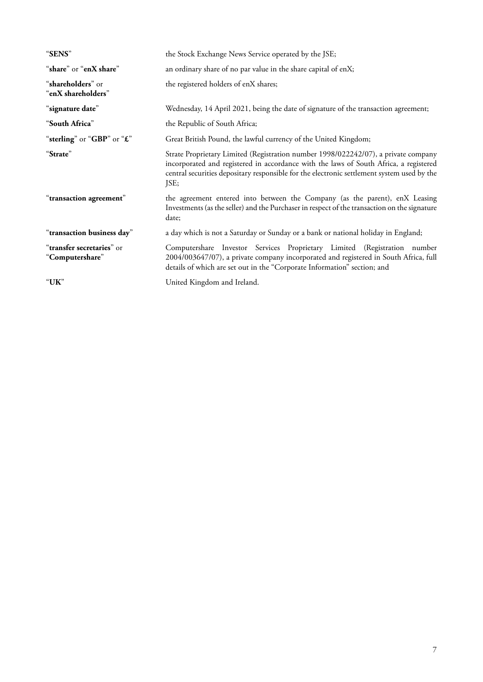| "SENS"                                       | the Stock Exchange News Service operated by the JSE;                                                                                                                                                                                                                              |  |  |
|----------------------------------------------|-----------------------------------------------------------------------------------------------------------------------------------------------------------------------------------------------------------------------------------------------------------------------------------|--|--|
| "share" or "enX share"                       | an ordinary share of no par value in the share capital of enX;                                                                                                                                                                                                                    |  |  |
| "shareholders" or<br>"enX shareholders"      | the registered holders of enX shares;                                                                                                                                                                                                                                             |  |  |
| "signature date"                             | Wednesday, 14 April 2021, being the date of signature of the transaction agreement;                                                                                                                                                                                               |  |  |
| "South Africa"                               | the Republic of South Africa;                                                                                                                                                                                                                                                     |  |  |
| "sterling" or "GBP" or "£"                   | Great British Pound, the lawful currency of the United Kingdom;                                                                                                                                                                                                                   |  |  |
| "Strate"                                     | Strate Proprietary Limited (Registration number 1998/022242/07), a private company<br>incorporated and registered in accordance with the laws of South Africa, a registered<br>central securities depositary responsible for the electronic settlement system used by the<br>JSE; |  |  |
| "transaction agreement"                      | the agreement entered into between the Company (as the parent), enX Leasing<br>Investments (as the seller) and the Purchaser in respect of the transaction on the signature<br>date;                                                                                              |  |  |
| "transaction business day"                   | a day which is not a Saturday or Sunday or a bank or national holiday in England;                                                                                                                                                                                                 |  |  |
| "transfer secretaries" or<br>"Computershare" | Computershare Investor Services Proprietary Limited (Registration number<br>2004/003647/07), a private company incorporated and registered in South Africa, full<br>details of which are set out in the "Corporate Information" section; and                                      |  |  |
| $\lq\lq {\mathbf U} {\mathbf K} \rq$         | United Kingdom and Ireland.                                                                                                                                                                                                                                                       |  |  |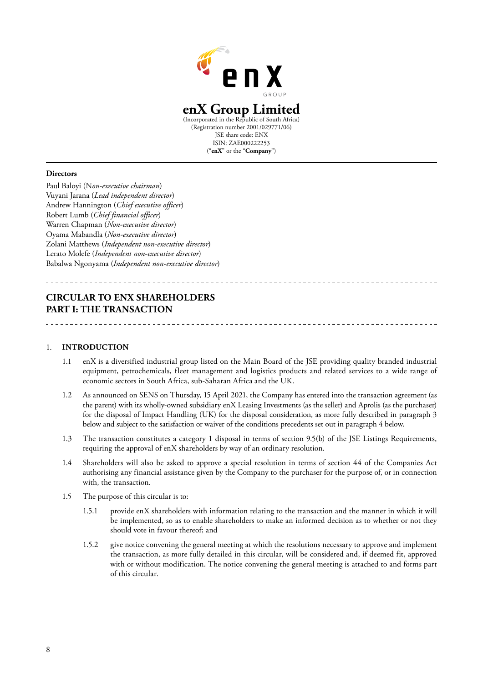

# **enX Group Limited**

(Incorporated in the Republic of South Africa) (Registration number 2001/029771/06) JSE share code: ENX ISIN: ZAE000222253 ("**enX**" or the "**Company**")

### **Directors**

Paul Baloyi (N*on-executive chairman*) Vuyani Jarana (*Lead independent director*) Andrew Hannington (*Chief executive officer*) Robert Lumb (*Chief financial officer*) Warren Chapman (*Non-executive director*) Oyama Mabandla (*Non-executive director*) Zolani Matthews (*Independent non-executive director*) Lerato Molefe (*Independent non-executive director*) Babalwa Ngonyama (*Independent non-executive director*)

# **CIRCULAR TO ENX SHAREHOLDERS PART I: THE TRANSACTION**

### 1. **INTRODUCTION**

---------------------

1.1 enX is a diversified industrial group listed on the Main Board of the JSE providing quality branded industrial equipment, petrochemicals, fleet management and logistics products and related services to a wide range of economic sectors in South Africa, sub-Saharan Africa and the UK.

- 1.2 As announced on SENS on Thursday, 15 April 2021, the Company has entered into the transaction agreement (as the parent) with its wholly-owned subsidiary enX Leasing Investments (as the seller) and Aprolis (as the purchaser) for the disposal of Impact Handling (UK) for the disposal consideration, as more fully described in paragraph 3 below and subject to the satisfaction or waiver of the conditions precedents set out in paragraph 4 below.
- 1.3 The transaction constitutes a category 1 disposal in terms of section 9.5(b) of the JSE Listings Requirements, requiring the approval of enX shareholders by way of an ordinary resolution.
- 1.4 Shareholders will also be asked to approve a special resolution in terms of section 44 of the Companies Act authorising any financial assistance given by the Company to the purchaser for the purpose of, or in connection with, the transaction.
- 1.5 The purpose of this circular is to:
	- 1.5.1 provide enX shareholders with information relating to the transaction and the manner in which it will be implemented, so as to enable shareholders to make an informed decision as to whether or not they should vote in favour thereof; and
	- 1.5.2 give notice convening the general meeting at which the resolutions necessary to approve and implement the transaction, as more fully detailed in this circular, will be considered and, if deemed fit, approved with or without modification. The notice convening the general meeting is attached to and forms part of this circular.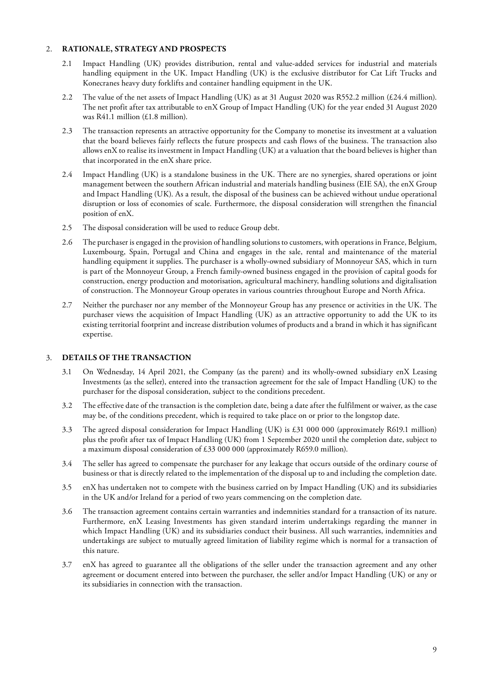### 2. **RATIONALE, STRATEGY AND PROSPECTS**

- 2.1 Impact Handling (UK) provides distribution, rental and value-added services for industrial and materials handling equipment in the UK. Impact Handling (UK) is the exclusive distributor for Cat Lift Trucks and Konecranes heavy duty forklifts and container handling equipment in the UK.
- 2.2 The value of the net assets of Impact Handling (UK) as at 31 August 2020 was R552.2 million (£24.4 million). The net profit after tax attributable to enX Group of Impact Handling (UK) for the year ended 31 August 2020 was R41.1 million (£1.8 million).
- 2.3 The transaction represents an attractive opportunity for the Company to monetise its investment at a valuation that the board believes fairly reflects the future prospects and cash flows of the business. The transaction also allows enX to realise its investment in Impact Handling (UK) at a valuation that the board believes is higher than that incorporated in the enX share price.
- 2.4 Impact Handling (UK) is a standalone business in the UK. There are no synergies, shared operations or joint management between the southern African industrial and materials handling business (EIE SA), the enX Group and Impact Handling (UK). As a result, the disposal of the business can be achieved without undue operational disruption or loss of economies of scale. Furthermore, the disposal consideration will strengthen the financial position of enX.
- 2.5 The disposal consideration will be used to reduce Group debt.
- 2.6 The purchaser is engaged in the provision of handling solutions to customers, with operations in France, Belgium, Luxembourg, Spain, Portugal and China and engages in the sale, rental and maintenance of the material handling equipment it supplies. The purchaser is a wholly-owned subsidiary of Monnoyeur SAS, which in turn is part of the Monnoyeur Group, a French family-owned business engaged in the provision of capital goods for construction, energy production and motorisation, agricultural machinery, handling solutions and digitalisation of construction. The Monnoyeur Group operates in various countries throughout Europe and North Africa.
- 2.7 Neither the purchaser nor any member of the Monnoyeur Group has any presence or activities in the UK. The purchaser views the acquisition of Impact Handling (UK) as an attractive opportunity to add the UK to its existing territorial footprint and increase distribution volumes of products and a brand in which it has significant expertise.

# 3. **DETAILS OF THE TRANSACTION**

- 3.1 On Wednesday, 14 April 2021, the Company (as the parent) and its wholly-owned subsidiary enX Leasing Investments (as the seller), entered into the transaction agreement for the sale of Impact Handling (UK) to the purchaser for the disposal consideration, subject to the conditions precedent.
- 3.2 The effective date of the transaction is the completion date, being a date after the fulfilment or waiver, as the case may be, of the conditions precedent, which is required to take place on or prior to the longstop date.
- 3.3 The agreed disposal consideration for Impact Handling (UK) is £31 000 000 (approximately R619.1 million) plus the profit after tax of Impact Handling (UK) from 1 September 2020 until the completion date, subject to a maximum disposal consideration of £33 000 000 (approximately R659.0 million).
- 3.4 The seller has agreed to compensate the purchaser for any leakage that occurs outside of the ordinary course of business or that is directly related to the implementation of the disposal up to and including the completion date.
- 3.5 enX has undertaken not to compete with the business carried on by Impact Handling (UK) and its subsidiaries in the UK and/or Ireland for a period of two years commencing on the completion date.
- 3.6 The transaction agreement contains certain warranties and indemnities standard for a transaction of its nature. Furthermore, enX Leasing Investments has given standard interim undertakings regarding the manner in which Impact Handling (UK) and its subsidiaries conduct their business. All such warranties, indemnities and undertakings are subject to mutually agreed limitation of liability regime which is normal for a transaction of this nature.
- 3.7 enX has agreed to guarantee all the obligations of the seller under the transaction agreement and any other agreement or document entered into between the purchaser, the seller and/or Impact Handling (UK) or any or its subsidiaries in connection with the transaction.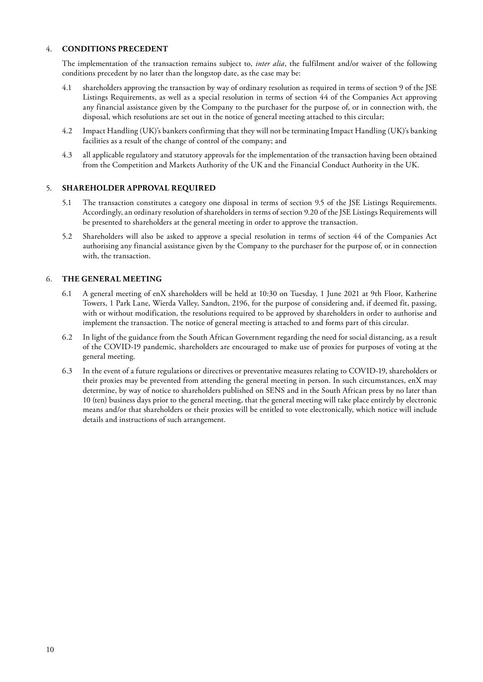## 4. **CONDITIONS PRECEDENT**

The implementation of the transaction remains subject to, *inter alia*, the fulfilment and/or waiver of the following conditions precedent by no later than the longstop date, as the case may be:

- 4.1 shareholders approving the transaction by way of ordinary resolution as required in terms of section 9 of the JSE Listings Requirements, as well as a special resolution in terms of section 44 of the Companies Act approving any financial assistance given by the Company to the purchaser for the purpose of, or in connection with, the disposal, which resolutions are set out in the notice of general meeting attached to this circular;
- 4.2 Impact Handling (UK)'s bankers confirming that they will not be terminating Impact Handling (UK)'s banking facilities as a result of the change of control of the company; and
- 4.3 all applicable regulatory and statutory approvals for the implementation of the transaction having been obtained from the Competition and Markets Authority of the UK and the Financial Conduct Authority in the UK.

### 5. **SHAREHOLDER APPROVAL REQUIRED**

- 5.1 The transaction constitutes a category one disposal in terms of section 9.5 of the JSE Listings Requirements. Accordingly, an ordinary resolution of shareholders in terms of section 9.20 of the JSE Listings Requirements will be presented to shareholders at the general meeting in order to approve the transaction.
- 5.2 Shareholders will also be asked to approve a special resolution in terms of section 44 of the Companies Act authorising any financial assistance given by the Company to the purchaser for the purpose of, or in connection with, the transaction.

### 6. **THE GENERAL MEETING**

- 6.1 A general meeting of enX shareholders will be held at 10:30 on Tuesday, 1 June 2021 at 9th Floor, Katherine Towers, 1 Park Lane, Wierda Valley, Sandton, 2196, for the purpose of considering and, if deemed fit, passing, with or without modification, the resolutions required to be approved by shareholders in order to authorise and implement the transaction. The notice of general meeting is attached to and forms part of this circular.
- 6.2 In light of the guidance from the South African Government regarding the need for social distancing, as a result of the COVID-19 pandemic, shareholders are encouraged to make use of proxies for purposes of voting at the general meeting.
- 6.3 In the event of a future regulations or directives or preventative measures relating to COVID-19, shareholders or their proxies may be prevented from attending the general meeting in person. In such circumstances, enX may determine, by way of notice to shareholders published on SENS and in the South African press by no later than 10 (ten) business days prior to the general meeting, that the general meeting will take place entirely by electronic means and/or that shareholders or their proxies will be entitled to vote electronically, which notice will include details and instructions of such arrangement.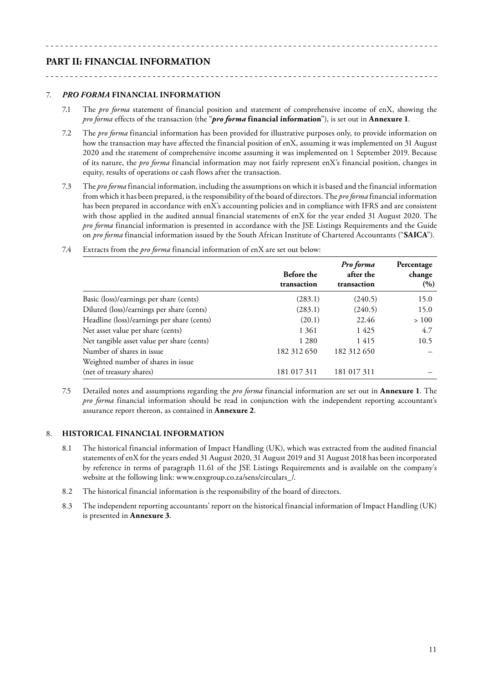# **PART II: FINANCIAL INFORMATION**

### 7. *PRO FORMA* **FINANCIAL INFORMATION**

- 7.1 The *pro forma* statement of financial position and statement of comprehensive income of enX, showing the *pro forma* effects of the transaction (the "*pro forma* **financial information**"), is set out in **Annexure 1**.
- 7.2 The *pro forma* financial information has been provided for illustrative purposes only, to provide information on how the transaction may have affected the financial position of enX, assuming it was implemented on 31 August 2020 and the statement of comprehensive income assuming it was implemented on 1 September 2019. Because of its nature, the *pro forma* financial information may not fairly represent enX's financial position, changes in equity, results of operations or cash flows after the transaction.
- 7.3 The *pro forma* financial information, including the assumptions on which it is based and the financial information from which it has been prepared, is the responsibility of the board of directors. The *pro forma* financial information has been prepared in accordance with enX's accounting policies and in compliance with IFRS and are consistent with those applied in the audited annual financial statements of enX for the year ended 31 August 2020. The *pro forma* financial information is presented in accordance with the JSE Listings Requirements and the Guide on *pro forma* financial information issued by the South African Institute of Chartered Accountants ("**SAICA**").
	- **Before the transaction** *Pro forma*  **after the transaction Percentage**  Basic (loss)/earnings per share (cents) (283.1) (240.5) 15.0 Diluted (loss)/earnings per share (cents) (283.1) (240.5) 15.0 Headline (loss)/earnings per share (cents) (20.1) 22.46 > 100 Net asset value per share (cents) 1 361 1 425 4.7 Net tangible asset value per share (cents) 1 280 1 415 10.5 Number of shares in issue 182 312 650 182 312 650 Weighted number of shares in issue

(net of treasury shares) 181 017 311 181 017 311

7.4 Extracts from the *pro forma* financial information of enX are set out below:

7.5 Detailed notes and assumptions regarding the *pro forma* financial information are set out in **Annexure 1**. The *pro forma* financial information should be read in conjunction with the independent reporting accountant's assurance report thereon, as contained in **Annexure 2**.

# 8. **HISTORICAL FINANCIAL INFORMATION**

- 8.1 The historical financial information of Impact Handling (UK), which was extracted from the audited financial statements of enX for the years ended 31 August 2020, 31 August 2019 and 31 August 2018 has been incorporated by reference in terms of paragraph 11.61 of the JSE Listings Requirements and is available on the company's website at the following link: www.enxgroup.co.za/sens/circulars\_/.
- 8.2 The historical financial information is the responsibility of the board of directors.
- 8.3 The independent reporting accountants' report on the historical financial information of Impact Handling (UK) is presented in **Annexure 3**.

**change (%)**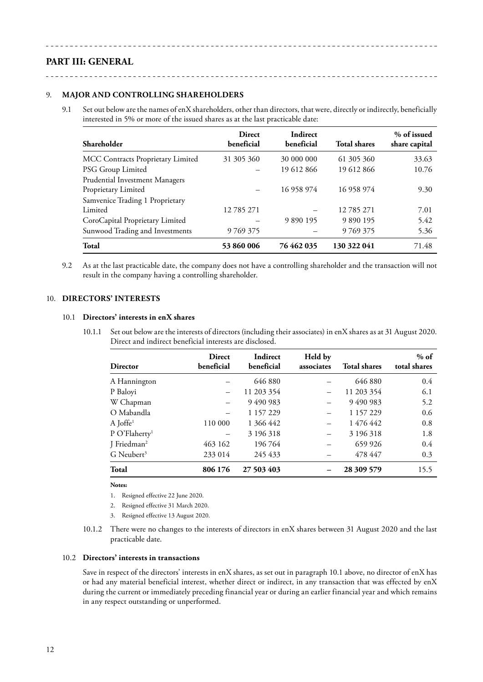# **PART III: GENERAL**

### 9. **MAJOR AND CONTROLLING SHAREHOLDERS**

<u>. . . . . . . . . .</u>

9.1 Set out below are the names of enX shareholders, other than directors, that were, directly or indirectly, beneficially interested in 5% or more of the issued shares as at the last practicable date:

<u> - - - - - - - - - - - -</u>

| Shareholder                       | <b>Direct</b><br>beneficial | Indirect<br>beneficial | <b>Total shares</b> | % of issued<br>share capital |
|-----------------------------------|-----------------------------|------------------------|---------------------|------------------------------|
| MCC Contracts Proprietary Limited | 31 305 360                  | 30 000 000             | 61 305 360          | 33.63                        |
| PSG Group Limited                 |                             | 19 612 866             | 19 612 866          | 10.76                        |
| Prudential Investment Managers    |                             |                        |                     |                              |
| Proprietary Limited               |                             | 16 958 974             | 16 958 974          | 9.30                         |
| Samvenice Trading 1 Proprietary   |                             |                        |                     |                              |
| Limited                           | 12785271                    |                        | 12785271            | 7.01                         |
| CoroCapital Proprietary Limited   |                             | 9 890 195              | 9 890 195           | 5.42                         |
| Sunwood Trading and Investments   | 9 769 375                   |                        | 9769375             | 5.36                         |
| <b>Total</b>                      | 53 860 006                  | 76 462 035             | 130 322 041         | 71.48                        |

9.2 As at the last practicable date, the company does not have a controlling shareholder and the transaction will not result in the company having a controlling shareholder.

# 10. **DIRECTORS' INTERESTS**

### 10.1 **Directors' interests in enX shares**

10.1.1 Set out below are the interests of directors (including their associates) in enX shares as at 31 August 2020. Direct and indirect beneficial interests are disclosed.

| <b>Director</b>           | <b>Direct</b><br>beneficial | Indirect<br>beneficial | Held by<br>associates | <b>Total shares</b> | $%$ of<br>total shares |
|---------------------------|-----------------------------|------------------------|-----------------------|---------------------|------------------------|
| A Hannington              |                             | 646 880                |                       | 646 880             | 0.4                    |
| P Baloyi                  |                             | 11 203 354             |                       | 11 203 354          | 6.1                    |
| W Chapman                 |                             | 9 490 983              |                       | 9 490 983           | 5.2                    |
| O Mabandla                |                             | 1 157 229              |                       | 1 157 229           | 0.6                    |
| A Joffe <sup>1</sup>      | 110 000                     | 1 366 442              |                       | 1 476 442           | 0.8                    |
| P O'Flaherty <sup>1</sup> |                             | 3 196 318              |                       | 3 196 318           | 1.8                    |
| J Friedman <sup>2</sup>   | 463 162                     | 196764                 |                       | 659 926             | 0.4                    |
| G Neubert <sup>3</sup>    | 233 014                     | 245 433                |                       | 478 447             | 0.3                    |
| Total                     | 806 176                     | 27 503 403             |                       | 28 309 579          | 15.5                   |

**Notes:**

- 1. Resigned effective 22 June 2020.
- 2. Resigned effective 31 March 2020.
- 3. Resigned effective 13 August 2020.
- 10.1.2 There were no changes to the interests of directors in enX shares between 31 August 2020 and the last practicable date.

## 10.2 **Directors' interests in transactions**

Save in respect of the directors' interests in enX shares, as set out in paragraph 10.1 above, no director of enX has or had any material beneficial interest, whether direct or indirect, in any transaction that was effected by enX during the current or immediately preceding financial year or during an earlier financial year and which remains in any respect outstanding or unperformed.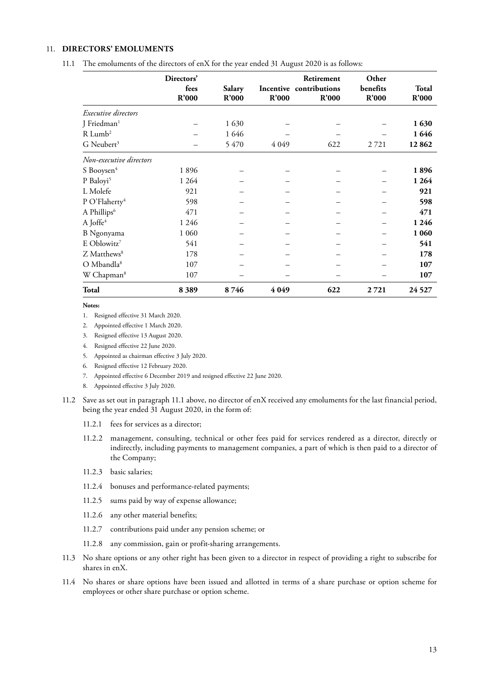## 11. **DIRECTORS' EMOLUMENTS**

| 11.1 The emoluments of the directors of enX for the year ended 31 August 2020 is as follows: |  |
|----------------------------------------------------------------------------------------------|--|
|----------------------------------------------------------------------------------------------|--|

|                            | Directors'<br>fees<br>R'000 | Salary<br>R'000 | R'000   | Retirement<br>Incentive contributions<br>R'000 | Other<br>benefits<br>R'000 | Total<br>R'000 |
|----------------------------|-----------------------------|-----------------|---------|------------------------------------------------|----------------------------|----------------|
| <i>Executive directors</i> |                             |                 |         |                                                |                            |                |
| J Friedman <sup>1</sup>    |                             | 1630            |         |                                                |                            | 1630           |
| $R$ Lumb <sup>2</sup>      |                             | 1646            |         |                                                |                            | 1646           |
| G Neubert <sup>3</sup>     |                             | 5470            | 4 0 4 9 | 622                                            | 2721                       | 12862          |
| Non-executive directors    |                             |                 |         |                                                |                            |                |
| S Booysen <sup>4</sup>     | 1896                        |                 |         |                                                |                            | 1896           |
| P Baloyi <sup>5</sup>      | 1 2 6 4                     |                 |         |                                                |                            | 1 2 6 4        |
| L Molefe                   | 921                         |                 |         |                                                |                            | 921            |
| P O'Flaherty <sup>4</sup>  | 598                         |                 |         |                                                |                            | 598            |
| A Phillips <sup>6</sup>    | 471                         |                 |         |                                                |                            | 471            |
| A Joffe <sup>4</sup>       | 1 2 4 6                     |                 |         |                                                |                            | 1 2 4 6        |
| B Ngonyama                 | 1 0 6 0                     |                 |         |                                                |                            | 1 0 6 0        |
| E Oblowitz <sup>7</sup>    | 541                         |                 |         |                                                |                            | 541            |
| Z Matthews <sup>8</sup>    | 178                         |                 |         |                                                |                            | 178            |
| O Mbandla <sup>8</sup>     | 107                         |                 |         |                                                |                            | 107            |
| W Chapman <sup>8</sup>     | 107                         |                 |         |                                                |                            | 107            |
| <b>Total</b>               | 8389                        | 8746            | 4049    | 622                                            | 2721                       | 24 5 27        |

**Notes:**

1. Resigned effective 31 March 2020.

- 2. Appointed effective 1 March 2020.
- 3. Resigned effective 13 August 2020.
- 4. Resigned effective 22 June 2020.
- 5. Appointed as chairman effective 3 July 2020.
- 6. Resigned effective 12 February 2020.
- 7. Appointed effective 6 December 2019 and resigned effective 22 June 2020.
- 8. Appointed effective 3 July 2020.
- 11.2 Save as set out in paragraph 11.1 above, no director of enX received any emoluments for the last financial period, being the year ended 31 August 2020, in the form of:
	- 11.2.1 fees for services as a director;
	- 11.2.2 management, consulting, technical or other fees paid for services rendered as a director, directly or indirectly, including payments to management companies, a part of which is then paid to a director of the Company;
	- 11.2.3 basic salaries;
	- 11.2.4 bonuses and performance-related payments;
	- 11.2.5 sums paid by way of expense allowance;
	- 11.2.6 any other material benefits;
	- 11.2.7 contributions paid under any pension scheme; or
	- 11.2.8 any commission, gain or profit-sharing arrangements.
- 11.3 No share options or any other right has been given to a director in respect of providing a right to subscribe for shares in enX.
- 11.4 No shares or share options have been issued and allotted in terms of a share purchase or option scheme for employees or other share purchase or option scheme.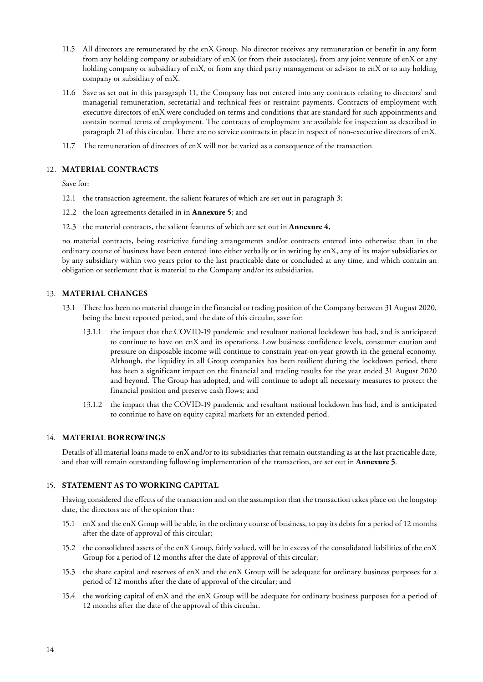- 11.5 All directors are remunerated by the enX Group. No director receives any remuneration or benefit in any form from any holding company or subsidiary of enX (or from their associates), from any joint venture of enX or any holding company or subsidiary of enX, or from any third party management or advisor to enX or to any holding company or subsidiary of enX.
- 11.6 Save as set out in this paragraph 11, the Company has not entered into any contracts relating to directors' and managerial remuneration, secretarial and technical fees or restraint payments. Contracts of employment with executive directors of enX were concluded on terms and conditions that are standard for such appointments and contain normal terms of employment. The contracts of employment are available for inspection as described in paragraph 21 of this circular. There are no service contracts in place in respect of non-executive directors of enX.
- 11.7 The remuneration of directors of enX will not be varied as a consequence of the transaction.

### 12. **MATERIAL CONTRACTS**

Save for:

- 12.1 the transaction agreement, the salient features of which are set out in paragraph 3;
- 12.2 the loan agreements detailed in in **Annexure 5**; and
- 12.3 the material contracts, the salient features of which are set out in **Annexure 4**,

no material contracts, being restrictive funding arrangements and/or contracts entered into otherwise than in the ordinary course of business have been entered into either verbally or in writing by enX, any of its major subsidiaries or by any subsidiary within two years prior to the last practicable date or concluded at any time, and which contain an obligation or settlement that is material to the Company and/or its subsidiaries.

### 13. **MATERIAL CHANGES**

- 13.1 There has been no material change in the financial or trading position of the Company between 31 August 2020, being the latest reported period, and the date of this circular, save for:
	- 13.1.1 the impact that the COVID-19 pandemic and resultant national lockdown has had, and is anticipated to continue to have on enX and its operations. Low business confidence levels, consumer caution and pressure on disposable income will continue to constrain year-on-year growth in the general economy. Although, the liquidity in all Group companies has been resilient during the lockdown period, there has been a significant impact on the financial and trading results for the year ended 31 August 2020 and beyond. The Group has adopted, and will continue to adopt all necessary measures to protect the financial position and preserve cash flows; and
	- 13.1.2 the impact that the COVID-19 pandemic and resultant national lockdown has had, and is anticipated to continue to have on equity capital markets for an extended period.

### 14. **MATERIAL BORROWINGS**

Details of all material loans made to enX and/or to its subsidiaries that remain outstanding as at the last practicable date, and that will remain outstanding following implementation of the transaction, are set out in **Annexure 5**.

## 15. **STATEMENT AS TO WORKING CAPITAL**

Having considered the effects of the transaction and on the assumption that the transaction takes place on the longstop date, the directors are of the opinion that:

- 15.1 enX and the enX Group will be able, in the ordinary course of business, to pay its debts for a period of 12 months after the date of approval of this circular;
- 15.2 the consolidated assets of the enX Group, fairly valued, will be in excess of the consolidated liabilities of the enX Group for a period of 12 months after the date of approval of this circular;
- 15.3 the share capital and reserves of enX and the enX Group will be adequate for ordinary business purposes for a period of 12 months after the date of approval of the circular; and
- 15.4 the working capital of enX and the enX Group will be adequate for ordinary business purposes for a period of 12 months after the date of the approval of this circular.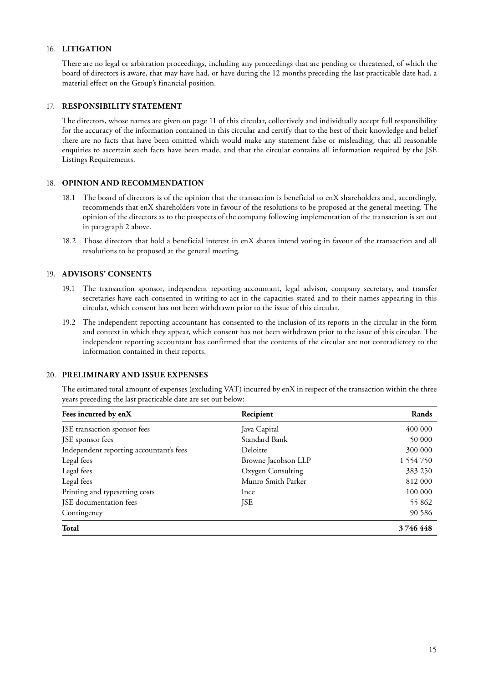### 16. **LITIGATION**

There are no legal or arbitration proceedings, including any proceedings that are pending or threatened, of which the board of directors is aware, that may have had, or have during the 12 months preceding the last practicable date had, a material effect on the Group's financial position.

### 17. **RESPONSIBILITY STATEMENT**

The directors, whose names are given on page 11 of this circular, collectively and individually accept full responsibility for the accuracy of the information contained in this circular and certify that to the best of their knowledge and belief there are no facts that have been omitted which would make any statement false or misleading, that all reasonable enquiries to ascertain such facts have been made, and that the circular contains all information required by the JSE Listings Requirements.

### 18. **OPINION AND RECOMMENDATION**

- 18.1 The board of directors is of the opinion that the transaction is beneficial to enX shareholders and, accordingly, recommends that enX shareholders vote in favour of the resolutions to be proposed at the general meeting. The opinion of the directors as to the prospects of the company following implementation of the transaction is set out in paragraph 2 above.
- 18.2 Those directors that hold a beneficial interest in enX shares intend voting in favour of the transaction and all resolutions to be proposed at the general meeting.

### 19. **ADVISORS' CONSENTS**

- 19.1 The transaction sponsor, independent reporting accountant, legal advisor, company secretary, and transfer secretaries have each consented in writing to act in the capacities stated and to their names appearing in this circular, which consent has not been withdrawn prior to the issue of this circular.
- 19.2 The independent reporting accountant has consented to the inclusion of its reports in the circular in the form and context in which they appear, which consent has not been withdrawn prior to the issue of this circular. The independent reporting accountant has confirmed that the contents of the circular are not contradictory to the information contained in their reports.

### 20. **PRELIMINARY AND ISSUE EXPENSES**

The estimated total amount of expenses (excluding VAT) incurred by enX in respect of the transaction within the three years preceding the last practicable date are set out below:

| Fees incurred by enX                    | Recipient           | Rands     |
|-----------------------------------------|---------------------|-----------|
| JSE transaction sponsor fees            | Java Capital        | 400 000   |
| JSE sponsor fees                        | Standard Bank       | 50 000    |
| Independent reporting accountant's fees | Deloitte            | 300 000   |
| Legal fees                              | Browne Jacobson LLP | 1 554 750 |
| Legal fees                              | Oxygen Consulting   | 383 250   |
| Legal fees                              | Munro Smith Parker  | 812 000   |
| Printing and typesetting costs          | Ince                | 100 000   |
| JSE documentation fees                  | JSE                 | 55 862    |
| Contingency                             |                     | 90 586    |
| <b>Total</b>                            |                     | 3746448   |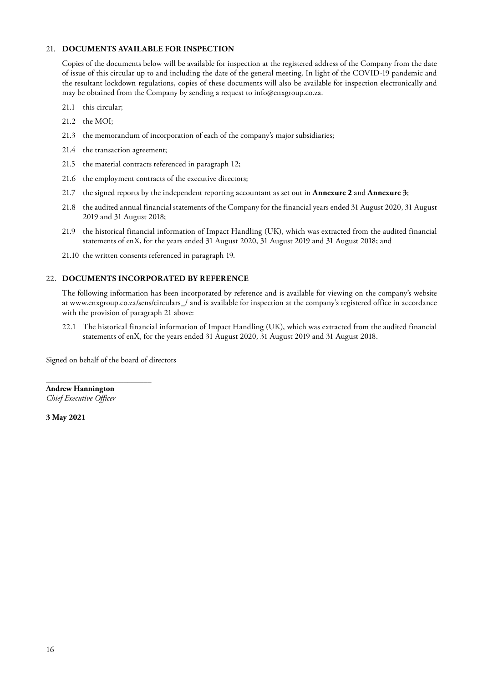### 21. **DOCUMENTS AVAILABLE FOR INSPECTION**

Copies of the documents below will be available for inspection at the registered address of the Company from the date of issue of this circular up to and including the date of the general meeting. In light of the COVID-19 pandemic and the resultant lockdown regulations, copies of these documents will also be available for inspection electronically and may be obtained from the Company by sending a request to info@enxgroup.co.za.

- 21.1 this circular:
- 21.2 the MOI:
- 21.3 the memorandum of incorporation of each of the company's major subsidiaries;
- 21.4 the transaction agreement;
- 21.5 the material contracts referenced in paragraph 12;
- 21.6 the employment contracts of the executive directors;
- 21.7 the signed reports by the independent reporting accountant as set out in **Annexure 2** and **Annexure 3**;
- 21.8 the audited annual financial statements of the Company for the financial years ended 31 August 2020, 31 August 2019 and 31 August 2018;
- 21.9 the historical financial information of Impact Handling (UK), which was extracted from the audited financial statements of enX, for the years ended 31 August 2020, 31 August 2019 and 31 August 2018; and

21.10 the written consents referenced in paragraph 19.

### 22. **DOCUMENTS INCORPORATED BY REFERENCE**

The following information has been incorporated by reference and is available for viewing on the company's website at www.enxgroup.co.za/sens/circulars\_/ and is available for inspection at the company's registered office in accordance with the provision of paragraph 21 above:

22.1 The historical financial information of Impact Handling (UK), which was extracted from the audited financial statements of enX, for the years ended 31 August 2020, 31 August 2019 and 31 August 2018.

Signed on behalf of the board of directors

\_\_\_\_\_\_\_\_\_\_\_\_\_\_\_\_\_\_\_\_\_\_\_\_\_\_

**Andrew Hannington** *Chief Executive Officer*

**3 May 2021**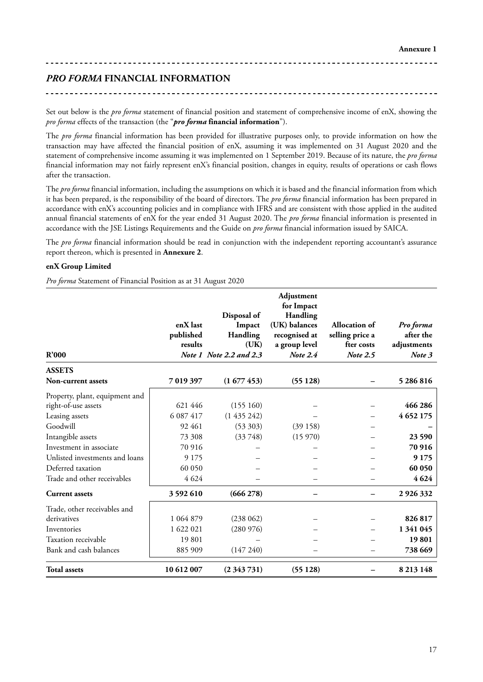*PRO FORMA* **FINANCIAL INFORMATION**

<u>---------------</u>

Set out below is the *pro forma* statement of financial position and statement of comprehensive income of enX, showing the *pro forma* effects of the transaction (the "*pro forma* **financial information**").

The *pro forma* financial information has been provided for illustrative purposes only, to provide information on how the transaction may have affected the financial position of enX, assuming it was implemented on 31 August 2020 and the statement of comprehensive income assuming it was implemented on 1 September 2019. Because of its nature, the *pro forma* financial information may not fairly represent enX's financial position, changes in equity, results of operations or cash flows after the transaction.

The *pro forma* financial information, including the assumptions on which it is based and the financial information from which it has been prepared, is the responsibility of the board of directors. The *pro forma* financial information has been prepared in accordance with enX's accounting policies and in compliance with IFRS and are consistent with those applied in the audited annual financial statements of enX for the year ended 31 August 2020. The *pro forma* financial information is presented in accordance with the JSE Listings Requirements and the Guide on *pro forma* financial information issued by SAICA.

The *pro forma* financial information should be read in conjunction with the independent reporting accountant's assurance report thereon, which is presented in **Annexure 2**.

### **enX Group Limited**

*Pro forma* Statement of Financial Position as at 31 August 2020

| R'000                          | enX last<br>published<br>results | Disposal of<br>Impact<br>Handling<br>(UK)<br>Note 1 Note 2.2 and 2.3 | Adjustment<br>for Impact<br>Handling<br>(UK) balances<br>recognised at<br>a group level<br>Note $2.4$ | Allocation of<br>selling price a<br>fter costs<br>Note 2.5 | Pro forma<br>after the<br>adjustments<br>Note 3 |
|--------------------------------|----------------------------------|----------------------------------------------------------------------|-------------------------------------------------------------------------------------------------------|------------------------------------------------------------|-------------------------------------------------|
| <b>ASSETS</b>                  |                                  |                                                                      |                                                                                                       |                                                            |                                                 |
| <b>Non-current assets</b>      | 7 019 397                        | (1677453)                                                            | (55128)                                                                                               |                                                            | 5 286 816                                       |
| Property, plant, equipment and |                                  |                                                                      |                                                                                                       |                                                            |                                                 |
| right-of-use assets            | 621 446                          | (155160)                                                             |                                                                                                       |                                                            | 466 286                                         |
| Leasing assets                 | 6 087 417                        | (1435242)                                                            |                                                                                                       |                                                            | 4 652 175                                       |
| Goodwill                       | 92 461                           | (53 303)                                                             | (39158)                                                                                               |                                                            |                                                 |
| Intangible assets              | 73 308                           | (33748)                                                              | (15970)                                                                                               |                                                            | 23 590                                          |
| Investment in associate        | 70 916                           |                                                                      |                                                                                                       |                                                            | 70 916                                          |
| Unlisted investments and loans | 9 1 7 5                          |                                                                      |                                                                                                       |                                                            | 9 1 7 5                                         |
| Deferred taxation              | 60 050                           |                                                                      |                                                                                                       |                                                            | 60 050                                          |
| Trade and other receivables    | 4 6 2 4                          |                                                                      |                                                                                                       |                                                            | 4624                                            |
| <b>Current assets</b>          | 3592610                          | (666278)                                                             |                                                                                                       |                                                            | 2926332                                         |
| Trade, other receivables and   |                                  |                                                                      |                                                                                                       |                                                            |                                                 |
| derivatives                    | 1 0 6 4 8 7 9                    | (238062)                                                             |                                                                                                       |                                                            | 826817                                          |
| Inventories                    | 1 622 021                        | (280976)                                                             |                                                                                                       |                                                            | 1 341 045                                       |
| Taxation receivable            | 19801                            |                                                                      |                                                                                                       |                                                            | 19801                                           |
| Bank and cash balances         | 885 909                          | (147240)                                                             |                                                                                                       |                                                            | 738 669                                         |
| <b>Total assets</b>            | 10 612 007                       | (2343731)                                                            | (55128)                                                                                               |                                                            | 8 2 1 3 1 4 8                                   |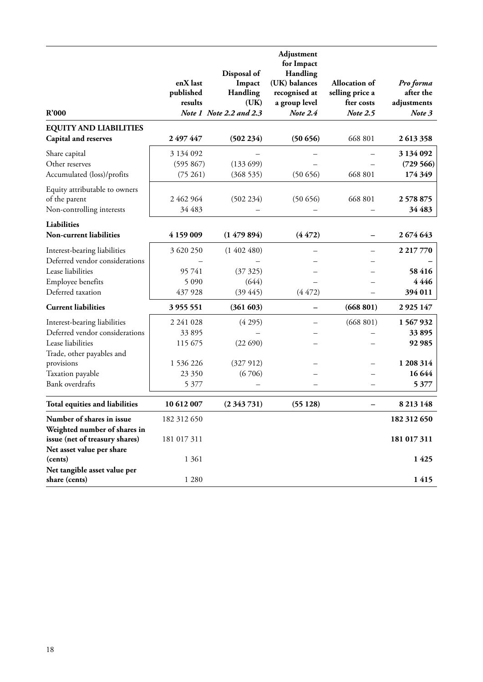| R'000                                                                                                                                                                 | enX last<br>published<br>results                                     | Disposal of<br>Impact<br>Handling<br>(UK)<br>Note 1 Note 2.2 and 2.3 | Adjustment<br>for Impact<br>Handling<br>(UK) balances<br>recognised at<br>a group level<br>Note 2.4 | Allocation of<br>selling price a<br>fter costs<br>Note 2.5 | Pro forma<br>after the<br>adjustments<br>Note 3              |
|-----------------------------------------------------------------------------------------------------------------------------------------------------------------------|----------------------------------------------------------------------|----------------------------------------------------------------------|-----------------------------------------------------------------------------------------------------|------------------------------------------------------------|--------------------------------------------------------------|
| <b>EQUITY AND LIABILITIES</b><br><b>Capital and reserves</b>                                                                                                          | 2 497 447                                                            | (502 234)                                                            | (50656)                                                                                             | 668 801                                                    | 2613358                                                      |
| Share capital<br>Other reserves<br>Accumulated (loss)/profits                                                                                                         | 3 134 092<br>(595 867)<br>(75 261)                                   | (13369)<br>(368535)                                                  | (50656)                                                                                             | 668 801                                                    | 3 134 092<br>(729 566)<br>174 349                            |
| Equity attributable to owners<br>of the parent<br>Non-controlling interests                                                                                           | 2 462 964<br>34 483                                                  | (502 234)                                                            | (50656)                                                                                             | 668 801                                                    | 2578875<br>34 483                                            |
| Liabilities<br>Non-current liabilities                                                                                                                                | 4 159 009                                                            | (1479894)                                                            | (4472)                                                                                              |                                                            | 2 674 643                                                    |
| Interest-bearing liabilities<br>Deferred vendor considerations<br>Lease liabilities<br>Employee benefits<br>Deferred taxation                                         | 3 620 250<br>95 741<br>5 0 9 0<br>437 928                            | (1402480)<br>(37325)<br>(644)<br>(39445)                             | (4472)                                                                                              |                                                            | 2 2 1 7 7 7 0<br>58416<br>4446<br>394 011                    |
| <b>Current liabilities</b>                                                                                                                                            | 3 955 551                                                            | (361603)                                                             |                                                                                                     | (668801)                                                   | 2 9 25 147                                                   |
| Interest-bearing liabilities<br>Deferred vendor considerations<br>Lease liabilities<br>Trade, other payables and<br>provisions<br>Taxation payable<br>Bank overdrafts | 2 2 4 1 0 2 8<br>33 895<br>115 675<br>1 536 226<br>23 350<br>5 3 7 7 | (4295)<br>(22690)<br>(327912)<br>(6706)                              |                                                                                                     | (668801)                                                   | 1567932<br>33895<br>92 985<br>1 208 314<br>16 644<br>5 3 7 7 |
| Total equities and liabilities                                                                                                                                        | 10 612 007                                                           | (2343731)                                                            | (55128)                                                                                             |                                                            | 8 2 1 3 1 4 8                                                |
| Number of shares in issue<br>Weighted number of shares in<br>issue (net of treasury shares)                                                                           | 182 312 650<br>181 017 311                                           |                                                                      |                                                                                                     |                                                            | 182 312 650<br>181 017 311                                   |
| Net asset value per share<br>(cents)<br>Net tangible asset value per<br>share (cents)                                                                                 | 1 3 6 1<br>1 2 8 0                                                   |                                                                      |                                                                                                     |                                                            | 1425<br>1415                                                 |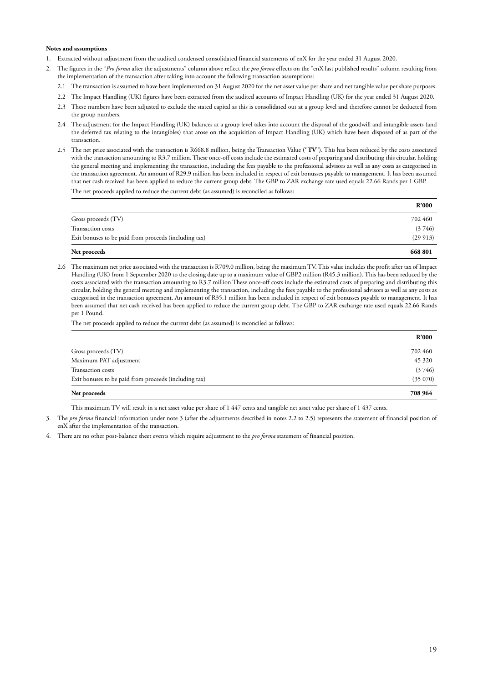### **Notes and assumptions**

- 1. Extracted without adjustment from the audited condensed consolidated financial statements of enX for the year ended 31 August 2020.
- 2. The figures in the "*Pro forma* after the adjustments" column above reflect the *pro forma* effects on the "enX last published results" column resulting from the implementation of the transaction after taking into account the following transaction assumptions:
	- 2.1 The transaction is assumed to have been implemented on 31 August 2020 for the net asset value per share and net tangible value per share purposes.
	- 2.2 The Impact Handling (UK) figures have been extracted from the audited accounts of Impact Handling (UK) for the year ended 31 August 2020.
	- 2.3 These numbers have been adjusted to exclude the stated capital as this is consolidated out at a group level and therefore cannot be deducted from the group numbers.
	- 2.4 The adjustment for the Impact Handling (UK) balances at a group level takes into account the disposal of the goodwill and intangible assets (and the deferred tax relating to the intangibles) that arose on the acquisition of Impact Handling (UK) which have been disposed of as part of the transaction.
	- 2.5 The net price associated with the transaction is R668.8 million, being the Transaction Value (''**TV**''). This has been reduced by the costs associated with the transaction amounting to R3.7 million. These once-off costs include the estimated costs of preparing and distributing this circular, holding the general meeting and implementing the transaction, including the fees payable to the professional advisors as well as any costs as categorised in the transaction agreement. An amount of R29.9 million has been included in respect of exit bonusses payable to management. It has been assumed that net cash received has been applied to reduce the current group debt. The GBP to ZAR exchange rate used equals 22.66 Rands per 1 GBP. The net proceeds applied to reduce the current debt (as assumed) is reconciled as follows:

|                                                       | R'000   |
|-------------------------------------------------------|---------|
| Gross proceeds (TV)                                   | 702 460 |
| Transaction costs                                     | (3746)  |
| Exit bonuses to be paid from proceeds (including tax) | (29913) |
| Net proceeds                                          | 668 801 |

2.6 The maximum net price associated with the transaction is R709.0 million, being the maximum TV. This value includes the profit after tax of Impact Handling (UK) from 1 September 2020 to the closing date up to a maximum value of GBP2 million (R45.3 million). This has been reduced by the costs associated with the transaction amounting to R3.7 million These once-off costs include the estimated costs of preparing and distributing this circular, holding the general meeting and implementing the transaction, including the fees payable to the professional advisors as well as any costs as categorised in the transaction agreement. An amount of R35.1 million has been included in respect of exit bonusses payable to management. It has been assumed that net cash received has been applied to reduce the current group debt. The GBP to ZAR exchange rate used equals 22.66 Rands per 1 Pound.

The net proceeds applied to reduce the current debt (as assumed) is reconciled as follows:

|                                                       | R'000   |
|-------------------------------------------------------|---------|
| Gross proceeds (TV)                                   | 702 460 |
| Maximum PAT adjustment                                | 45 320  |
| Transaction costs                                     | (3746)  |
| Exit bonuses to be paid from proceeds (including tax) | (35070) |
| Net proceeds                                          | 708 964 |

This maximum TV will result in a net asset value per share of 1 447 cents and tangible net asset value per share of 1 437 cents.

- 3. The *pro forma* financial information under note 3 (after the adjustments described in notes 2.2 to 2.5) represents the statement of financial position of enX after the implementation of the transaction.
- 4. There are no other post-balance sheet events which require adjustment to the *pro forma* statement of financial position.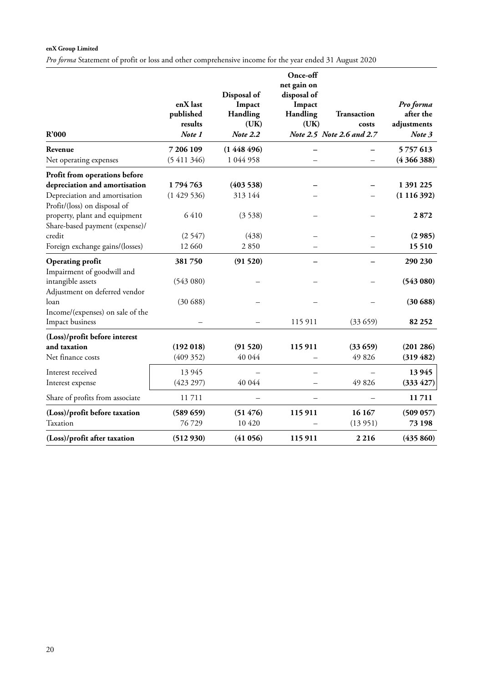# **enX Group Limited**

*Pro forma* Statement of profit or loss and other comprehensive income for the year ended 31 August 2020

| R'000                                                           | enX last<br>published<br>results<br>Note 1 | Disposal of<br>Impact<br>Handling<br>(UK)<br><b>Note 2.2</b> | Once-off<br>net gain on<br>disposal of<br>Impact<br>Handling<br>(UK) | Transaction<br>costs<br>Note 2.5 Note 2.6 and 2.7 | Pro forma<br>after the<br>adjustments<br>Note 3 |
|-----------------------------------------------------------------|--------------------------------------------|--------------------------------------------------------------|----------------------------------------------------------------------|---------------------------------------------------|-------------------------------------------------|
| Revenue                                                         | 7 206 109                                  | (1448496)                                                    |                                                                      |                                                   | 5757613                                         |
| Net operating expenses                                          | (5411346)                                  | 1 044 958                                                    |                                                                      |                                                   | (436638)                                        |
| Profit from operations before                                   |                                            |                                                              |                                                                      |                                                   |                                                 |
| depreciation and amortisation                                   | 1794763                                    | (403538)                                                     |                                                                      |                                                   | 1 391 225                                       |
| Depreciation and amortisation<br>Profit/(loss) on disposal of   | (1429536)                                  | 313 144                                                      |                                                                      |                                                   | (1116392)                                       |
| property, plant and equipment<br>Share-based payment (expense)/ | 6410                                       | (3538)                                                       |                                                                      |                                                   | 2872                                            |
| credit                                                          | (2547)                                     | (438)                                                        |                                                                      |                                                   | (2985)                                          |
| Foreign exchange gains/(losses)                                 | 12 660                                     | 2850                                                         |                                                                      |                                                   | 15510                                           |
| <b>Operating profit</b><br>Impairment of goodwill and           | 381750                                     | (91520)                                                      |                                                                      |                                                   | 290 230                                         |
| intangible assets<br>Adjustment on deferred vendor              | (543080)                                   |                                                              |                                                                      |                                                   | (543080)                                        |
| loan<br>Income/(expenses) on sale of the                        | (30688)                                    |                                                              |                                                                      |                                                   | (30688)                                         |
| Impact business                                                 |                                            |                                                              | 115 911                                                              | (33659)                                           | 82 25 2                                         |
| (Loss)/profit before interest                                   |                                            |                                                              |                                                                      |                                                   |                                                 |
| and taxation                                                    | (192018)                                   | (91520)                                                      | 115911                                                               | (33659)                                           | (201 286)                                       |
| Net finance costs                                               | (409 352)                                  | 40 044                                                       |                                                                      | 49 826                                            | (319 482)                                       |
| Interest received                                               | 13 9 45                                    |                                                              |                                                                      |                                                   | 13945                                           |
| Interest expense                                                | (423 297)                                  | 40 044                                                       |                                                                      | 49 826                                            | (333 427)                                       |
| Share of profits from associate                                 | 11711                                      |                                                              |                                                                      |                                                   | 11711                                           |
| (Loss)/profit before taxation                                   | (589 659)                                  | (51 476)                                                     | 115 911                                                              | 16 167                                            | (509 057)                                       |
| Taxation                                                        | 76729                                      | 10 420                                                       |                                                                      | (13951)                                           | 73 198                                          |
| (Loss)/profit after taxation                                    | (512930)                                   | (41056)                                                      | 115911                                                               | 2 2 1 6                                           | (435 860)                                       |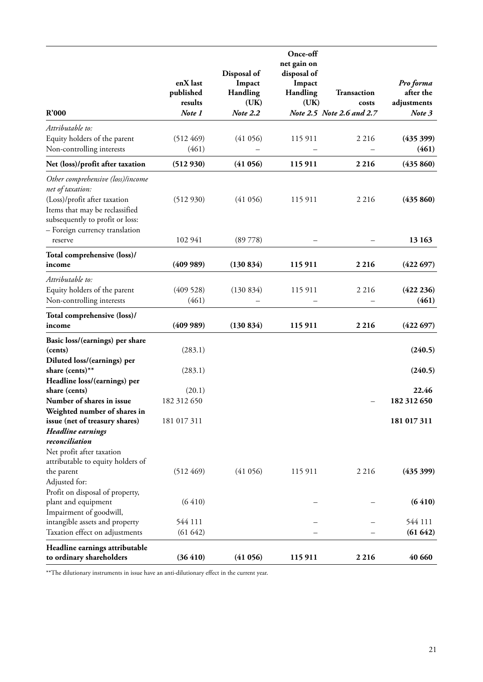| R'000                                                                                                                                                                                                   | enX last<br>published<br>results<br>Note 1 | Disposal of<br>Impact<br>Handling<br>(UK)<br><b>Note 2.2</b> | Once-off<br>net gain on<br>disposal of<br>Impact<br>Handling<br>(UK) | <b>Transaction</b><br>costs<br>Note 2.5 Note 2.6 and 2.7 | Pro forma<br>after the<br>adjustments<br>Note 3 |
|---------------------------------------------------------------------------------------------------------------------------------------------------------------------------------------------------------|--------------------------------------------|--------------------------------------------------------------|----------------------------------------------------------------------|----------------------------------------------------------|-------------------------------------------------|
| Attributable to:                                                                                                                                                                                        |                                            |                                                              |                                                                      |                                                          |                                                 |
| Equity holders of the parent<br>Non-controlling interests                                                                                                                                               | $(512\,469)$<br>(461)                      | (41056)                                                      | 115 911                                                              | 2 2 1 6                                                  | (435 399)<br>(461)                              |
| Net (loss)/profit after taxation                                                                                                                                                                        | (512930)                                   | (41056)                                                      | 115911                                                               | 2 2 1 6                                                  | (435 860)                                       |
| Other comprehensive (loss)/income<br>net of taxation:<br>(Loss)/profit after taxation<br>Items that may be reclassified<br>subsequently to profit or loss:<br>- Foreign currency translation<br>reserve | (512930)<br>102 941                        | (41056)<br>(89778)                                           | 115 911                                                              | 2 2 1 6                                                  | (435 860)<br>13 163                             |
|                                                                                                                                                                                                         |                                            |                                                              |                                                                      |                                                          |                                                 |
| Total comprehensive (loss)/<br>income                                                                                                                                                                   | (409989)                                   | (130 834)                                                    | 115911                                                               | 2 2 1 6                                                  | (422697)                                        |
| Attributable to:<br>Equity holders of the parent<br>Non-controlling interests                                                                                                                           | (409528)<br>(461)                          | (130 834)                                                    | 115 911                                                              | 2 2 1 6                                                  | (422 236)<br>(461)                              |
| Total comprehensive (loss)/<br>income                                                                                                                                                                   | (409989)                                   | (130 834)                                                    | 115 911                                                              | 2 2 1 6                                                  | (422697)                                        |
| Basic loss/(earnings) per share<br>(cents)<br>Diluted loss/(earnings) per<br>share (cents)**                                                                                                            | (283.1)<br>(283.1)                         |                                                              |                                                                      |                                                          | (240.5)<br>(240.5)                              |
| Headline loss/(earnings) per<br>share (cents)                                                                                                                                                           | (20.1)                                     |                                                              |                                                                      |                                                          | 22.46                                           |
| Number of shares in issue<br>Weighted number of shares in<br>issue (net of treasury shares)<br><b>Headline earnings</b>                                                                                 | 182 312 650<br>181 017 311                 |                                                              |                                                                      |                                                          | 182 312 650<br>181 017 311                      |
| reconciliation<br>Net profit after taxation<br>attributable to equity holders of<br>the parent                                                                                                          | (512 469)                                  | (41056)                                                      | 115 911                                                              | 2 2 1 6                                                  | (435 399)                                       |
| Adjusted for:<br>Profit on disposal of property,<br>plant and equipment                                                                                                                                 | (6410)                                     |                                                              |                                                                      |                                                          | (6410)                                          |
| Impairment of goodwill,<br>intangible assets and property<br>Taxation effect on adjustments                                                                                                             | 544 111<br>(61 642)                        |                                                              |                                                                      |                                                          | 544 111<br>(61 642)                             |
| Headline earnings attributable<br>to ordinary shareholders                                                                                                                                              | (36 410)                                   | (41056)                                                      | 115911                                                               | 2 2 1 6                                                  | 40 660                                          |

\*\*The dilutionary instruments in issue have an anti-dilutionary effect in the current year.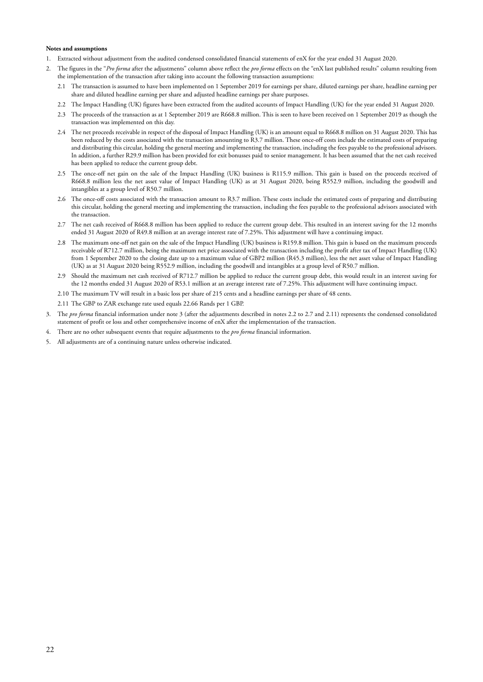### **Notes and assumptions**

- 1. Extracted without adjustment from the audited condensed consolidated financial statements of enX for the year ended 31 August 2020.
- 2. The figures in the "*Pro forma* after the adjustments" column above reflect the *pro forma* effects on the "enX last published results" column resulting from the implementation of the transaction after taking into account the following transaction assumptions:
	- 2.1 The transaction is assumed to have been implemented on 1 September 2019 for earnings per share, diluted earnings per share, headline earning per share and diluted headline earning per share and adjusted headline earnings per share purposes.
	- 2.2 The Impact Handling (UK) figures have been extracted from the audited accounts of Impact Handling (UK) for the year ended 31 August 2020.
	- 2.3 The proceeds of the transaction as at 1 September 2019 are R668.8 million. This is seen to have been received on 1 September 2019 as though the transaction was implemented on this day.
	- 2.4 The net proceeds receivable in respect of the disposal of Impact Handling (UK) is an amount equal to R668.8 million on 31 August 2020. This has been reduced by the costs associated with the transaction amounting to R3.7 million. These once-off costs include the estimated costs of preparing and distributing this circular, holding the general meeting and implementing the transaction, including the fees payable to the professional advisors. In addition, a further R29.9 million has been provided for exit bonusses paid to senior management. It has been assumed that the net cash received has been applied to reduce the current group debt.
	- 2.5 The once-off net gain on the sale of the Impact Handling (UK) business is R115.9 million. This gain is based on the proceeds received of R668.8 million less the net asset value of Impact Handling (UK) as at 31 August 2020, being R552.9 million, including the goodwill and intangibles at a group level of R50.7 million.
	- 2.6 The once-off costs associated with the transaction amount to R3.7 million. These costs include the estimated costs of preparing and distributing this circular, holding the general meeting and implementing the transaction, including the fees payable to the professional advisors associated with the transaction.
	- 2.7 The net cash received of R668.8 million has been applied to reduce the current group debt. This resulted in an interest saving for the 12 months ended 31 August 2020 of R49.8 million at an average interest rate of 7.25%. This adjustment will have a continuing impact.
	- 2.8 The maximum one-off net gain on the sale of the Impact Handling (UK) business is R159.8 million. This gain is based on the maximum proceeds receivable of R712.7 million, being the maximum net price associated with the transaction including the profit after tax of Impact Handling (UK) from 1 September 2020 to the closing date up to a maximum value of GBP2 million (R45.3 million), less the net asset value of Impact Handling (UK) as at 31 August 2020 being R552.9 million, including the goodwill and intangibles at a group level of R50.7 million.
	- 2.9 Should the maximum net cash received of R712.7 million be applied to reduce the current group debt, this would result in an interest saving for the 12 months ended 31 August 2020 of R53.1 million at an average interest rate of 7.25%. This adjustment will have continuing impact.
	- 2.10 The maximum TV will result in a basic loss per share of 215 cents and a headline earnings per share of 48 cents.
	- 2.11 The GBP to ZAR exchange rate used equals 22.66 Rands per 1 GBP.
- 3. The *pro forma* financial information under note 3 (after the adjustments described in notes 2.2 to 2.7 and 2.11) represents the condensed consolidated statement of profit or loss and other comprehensive income of enX after the implementation of the transaction.
- 4. There are no other subsequent events that require adjustments to the *pro forma* financial information.
- 5. All adjustments are of a continuing nature unless otherwise indicated.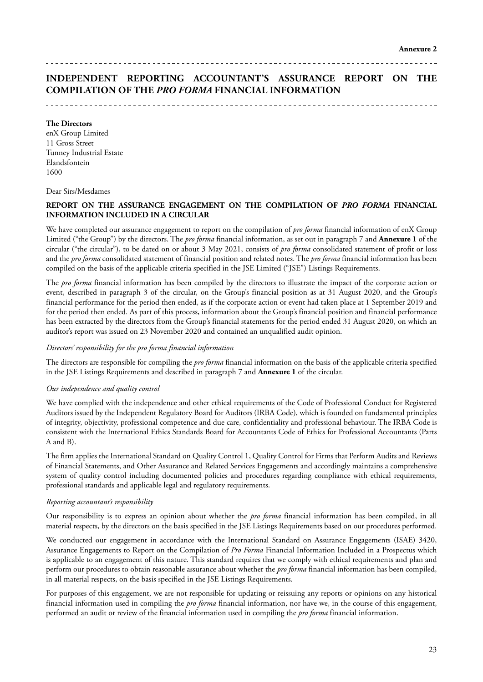# **INDEPENDENT REPORTING ACCOUNTANT'S ASSURANCE REPORT ON THE COMPILATION OF THE** *PRO FORMA* **FINANCIAL INFORMATION**

### **The Directors**

enX Group Limited 11 Gross Street Tunney Industrial Estate Elandsfontein 1600

Dear Sirs/Mesdames

# **REPORT ON THE ASSURANCE ENGAGEMENT ON THE COMPILATION OF** *PRO FORMA* **FINANCIAL INFORMATION INCLUDED IN A CIRCULAR**

We have completed our assurance engagement to report on the compilation of *pro forma* financial information of enX Group Limited ("the Group") by the directors. The *pro forma* financial information, as set out in paragraph 7 and **Annexure 1** of the circular ("the circular"), to be dated on or about 3 May 2021, consists of *pro forma* consolidated statement of profit or loss and the *pro forma* consolidated statement of financial position and related notes. The *pro forma* financial information has been compiled on the basis of the applicable criteria specified in the JSE Limited ("JSE") Listings Requirements.

The *pro forma* financial information has been compiled by the directors to illustrate the impact of the corporate action or event, described in paragraph 3 of the circular, on the Group's financial position as at 31 August 2020, and the Group's financial performance for the period then ended, as if the corporate action or event had taken place at 1 September 2019 and for the period then ended. As part of this process, information about the Group's financial position and financial performance has been extracted by the directors from the Group's financial statements for the period ended 31 August 2020, on which an auditor's report was issued on 23 November 2020 and contained an unqualified audit opinion.

### *Directors' responsibility for the pro forma financial information*

The directors are responsible for compiling the *pro forma* financial information on the basis of the applicable criteria specified in the JSE Listings Requirements and described in paragraph 7 and **Annexure 1** of the circular.

### *Our independence and quality control*

We have complied with the independence and other ethical requirements of the Code of Professional Conduct for Registered Auditors issued by the Independent Regulatory Board for Auditors (IRBA Code), which is founded on fundamental principles of integrity, objectivity, professional competence and due care, confidentiality and professional behaviour. The IRBA Code is consistent with the International Ethics Standards Board for Accountants Code of Ethics for Professional Accountants (Parts A and B).

The firm applies the International Standard on Quality Control 1, Quality Control for Firms that Perform Audits and Reviews of Financial Statements, and Other Assurance and Related Services Engagements and accordingly maintains a comprehensive system of quality control including documented policies and procedures regarding compliance with ethical requirements, professional standards and applicable legal and regulatory requirements.

### *Reporting accountant's responsibility*

Our responsibility is to express an opinion about whether the *pro forma* financial information has been compiled, in all material respects, by the directors on the basis specified in the JSE Listings Requirements based on our procedures performed.

We conducted our engagement in accordance with the International Standard on Assurance Engagements (ISAE) 3420, Assurance Engagements to Report on the Compilation of *Pro Forma* Financial Information Included in a Prospectus which is applicable to an engagement of this nature. This standard requires that we comply with ethical requirements and plan and perform our procedures to obtain reasonable assurance about whether the *pro forma* financial information has been compiled, in all material respects, on the basis specified in the JSE Listings Requirements.

For purposes of this engagement, we are not responsible for updating or reissuing any reports or opinions on any historical financial information used in compiling the *pro forma* financial information, nor have we, in the course of this engagement, performed an audit or review of the financial information used in compiling the *pro forma* financial information.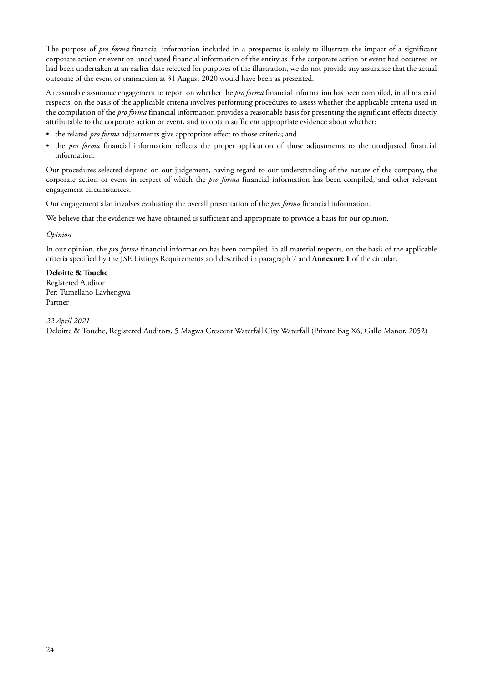The purpose of *pro forma* financial information included in a prospectus is solely to illustrate the impact of a significant corporate action or event on unadjusted financial information of the entity as if the corporate action or event had occurred or had been undertaken at an earlier date selected for purposes of the illustration, we do not provide any assurance that the actual outcome of the event or transaction at 31 August 2020 would have been as presented.

A reasonable assurance engagement to report on whether the *pro forma* financial information has been compiled, in all material respects, on the basis of the applicable criteria involves performing procedures to assess whether the applicable criteria used in the compilation of the *pro forma* financial information provides a reasonable basis for presenting the significant effects directly attributable to the corporate action or event, and to obtain sufficient appropriate evidence about whether:

- the related *pro forma* adjustments give appropriate effect to those criteria; and
- the *pro forma* financial information reflects the proper application of those adjustments to the unadjusted financial information.

Our procedures selected depend on our judgement, having regard to our understanding of the nature of the company, the corporate action or event in respect of which the *pro forma* financial information has been compiled, and other relevant engagement circumstances.

Our engagement also involves evaluating the overall presentation of the *pro forma* financial information.

We believe that the evidence we have obtained is sufficient and appropriate to provide a basis for our opinion.

### *Opinion*

In our opinion, the *pro forma* financial information has been compiled, in all material respects, on the basis of the applicable criteria specified by the JSE Listings Requirements and described in paragraph 7 and **Annexure 1** of the circular.

**Deloitte & Touche** Registered Auditor Per: Tumellano Lavhengwa Partner

*22 April 2021*

Deloitte & Touche, Registered Auditors, 5 Magwa Crescent Waterfall City Waterfall (Private Bag X6, Gallo Manor, 2052)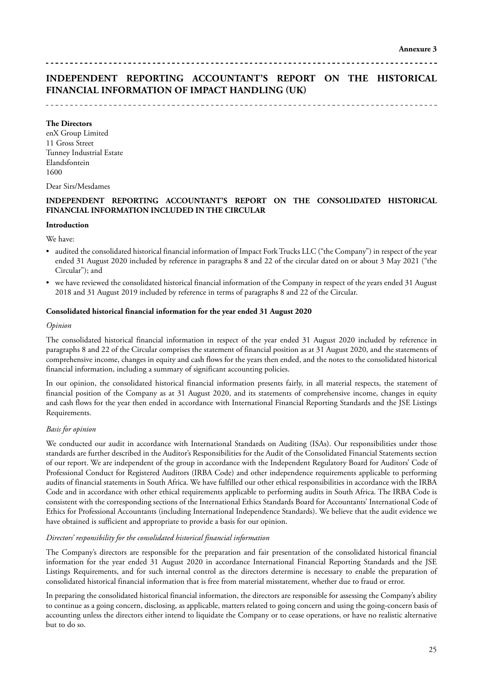# **INDEPENDENT REPORTING ACCOUNTANT'S REPORT ON THE HISTORICAL FINANCIAL INFORMATION OF IMPACT HANDLING (UK)**

### **The Directors**

enX Group Limited 11 Gross Street Tunney Industrial Estate Elandsfontein 1600

Dear Sirs/Mesdames

### **INDEPENDENT REPORTING ACCOUNTANT'S REPORT ON THE CONSOLIDATED HISTORICAL FINANCIAL INFORMATION INCLUDED IN THE CIRCULAR**

### **Introduction**

We have:

- audited the consolidated historical financial information of Impact Fork Trucks LLC ("the Company") in respect of the year ended 31 August 2020 included by reference in paragraphs 8 and 22 of the circular dated on or about 3 May 2021 ("the Circular"); and
- we have reviewed the consolidated historical financial information of the Company in respect of the years ended 31 August 2018 and 31 August 2019 included by reference in terms of paragraphs 8 and 22 of the Circular.

### **Consolidated historical financial information for the year ended 31 August 2020**

### *Opinion*

The consolidated historical financial information in respect of the year ended 31 August 2020 included by reference in paragraphs 8 and 22 of the Circular comprises the statement of financial position as at 31 August 2020, and the statements of comprehensive income, changes in equity and cash flows for the years then ended, and the notes to the consolidated historical financial information, including a summary of significant accounting policies.

In our opinion, the consolidated historical financial information presents fairly, in all material respects, the statement of financial position of the Company as at 31 August 2020, and its statements of comprehensive income, changes in equity and cash flows for the year then ended in accordance with International Financial Reporting Standards and the JSE Listings Requirements.

### *Basis for opinion*

We conducted our audit in accordance with International Standards on Auditing (ISAs). Our responsibilities under those standards are further described in the Auditor's Responsibilities for the Audit of the Consolidated Financial Statements section of our report. We are independent of the group in accordance with the Independent Regulatory Board for Auditors' Code of Professional Conduct for Registered Auditors (IRBA Code) and other independence requirements applicable to performing audits of financial statements in South Africa. We have fulfilled our other ethical responsibilities in accordance with the IRBA Code and in accordance with other ethical requirements applicable to performing audits in South Africa. The IRBA Code is consistent with the corresponding sections of the International Ethics Standards Board for Accountants' International Code of Ethics for Professional Accountants (including International Independence Standards). We believe that the audit evidence we have obtained is sufficient and appropriate to provide a basis for our opinion.

### *Directors' responsibility for the consolidated historical financial information*

The Company's directors are responsible for the preparation and fair presentation of the consolidated historical financial information for the year ended 31 August 2020 in accordance International Financial Reporting Standards and the JSE Listings Requirements, and for such internal control as the directors determine is necessary to enable the preparation of consolidated historical financial information that is free from material misstatement, whether due to fraud or error.

In preparing the consolidated historical financial information, the directors are responsible for assessing the Company's ability to continue as a going concern, disclosing, as applicable, matters related to going concern and using the going-concern basis of accounting unless the directors either intend to liquidate the Company or to cease operations, or have no realistic alternative but to do so.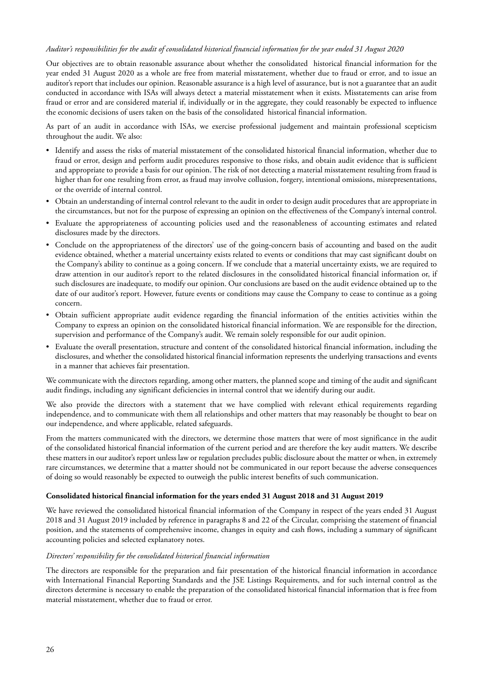### *Auditor's responsibilities for the audit of consolidated historical financial information for the year ended 31 August 2020*

Our objectives are to obtain reasonable assurance about whether the consolidated historical financial information for the year ended 31 August 2020 as a whole are free from material misstatement, whether due to fraud or error, and to issue an auditor's report that includes our opinion. Reasonable assurance is a high level of assurance, but is not a guarantee that an audit conducted in accordance with ISAs will always detect a material misstatement when it exists. Misstatements can arise from fraud or error and are considered material if, individually or in the aggregate, they could reasonably be expected to influence the economic decisions of users taken on the basis of the consolidated historical financial information.

As part of an audit in accordance with ISAs, we exercise professional judgement and maintain professional scepticism throughout the audit. We also:

- Identify and assess the risks of material misstatement of the consolidated historical financial information, whether due to fraud or error, design and perform audit procedures responsive to those risks, and obtain audit evidence that is sufficient and appropriate to provide a basis for our opinion. The risk of not detecting a material misstatement resulting from fraud is higher than for one resulting from error, as fraud may involve collusion, forgery, intentional omissions, misrepresentations, or the override of internal control.
- Obtain an understanding of internal control relevant to the audit in order to design audit procedures that are appropriate in the circumstances, but not for the purpose of expressing an opinion on the effectiveness of the Company's internal control.
- Evaluate the appropriateness of accounting policies used and the reasonableness of accounting estimates and related disclosures made by the directors.
- Conclude on the appropriateness of the directors' use of the going-concern basis of accounting and based on the audit evidence obtained, whether a material uncertainty exists related to events or conditions that may cast significant doubt on the Company's ability to continue as a going concern. If we conclude that a material uncertainty exists, we are required to draw attention in our auditor's report to the related disclosures in the consolidated historical financial information or, if such disclosures are inadequate, to modify our opinion. Our conclusions are based on the audit evidence obtained up to the date of our auditor's report. However, future events or conditions may cause the Company to cease to continue as a going concern.
- Obtain sufficient appropriate audit evidence regarding the financial information of the entities activities within the Company to express an opinion on the consolidated historical financial information. We are responsible for the direction, supervision and performance of the Company's audit. We remain solely responsible for our audit opinion.
- Evaluate the overall presentation, structure and content of the consolidated historical financial information, including the disclosures, and whether the consolidated historical financial information represents the underlying transactions and events in a manner that achieves fair presentation.

We communicate with the directors regarding, among other matters, the planned scope and timing of the audit and significant audit findings, including any significant deficiencies in internal control that we identify during our audit.

We also provide the directors with a statement that we have complied with relevant ethical requirements regarding independence, and to communicate with them all relationships and other matters that may reasonably be thought to bear on our independence, and where applicable, related safeguards.

From the matters communicated with the directors, we determine those matters that were of most significance in the audit of the consolidated historical financial information of the current period and are therefore the key audit matters. We describe these matters in our auditor's report unless law or regulation precludes public disclosure about the matter or when, in extremely rare circumstances, we determine that a matter should not be communicated in our report because the adverse consequences of doing so would reasonably be expected to outweigh the public interest benefits of such communication.

### **Consolidated historical financial information for the years ended 31 August 2018 and 31 August 2019**

We have reviewed the consolidated historical financial information of the Company in respect of the years ended 31 August 2018 and 31 August 2019 included by reference in paragraphs 8 and 22 of the Circular, comprising the statement of financial position, and the statements of comprehensive income, changes in equity and cash flows, including a summary of significant accounting policies and selected explanatory notes.

### *Directors' responsibility for the consolidated historical financial information*

The directors are responsible for the preparation and fair presentation of the historical financial information in accordance with International Financial Reporting Standards and the JSE Listings Requirements, and for such internal control as the directors determine is necessary to enable the preparation of the consolidated historical financial information that is free from material misstatement, whether due to fraud or error.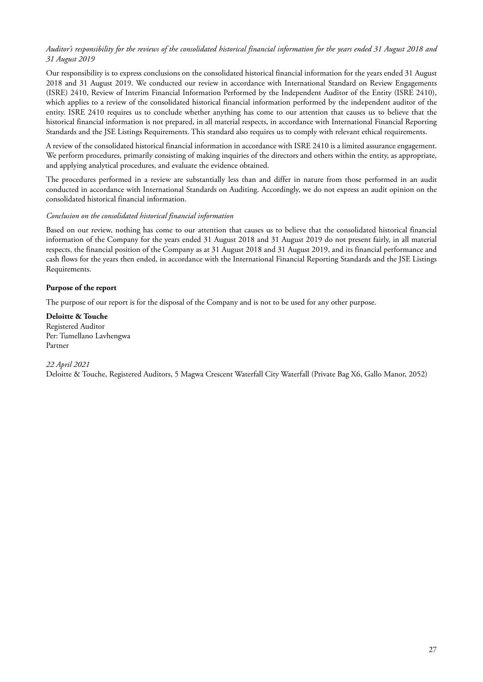## *Auditor's responsibility for the reviews of the consolidated historical financial information for the years ended 31 August 2018 and 31 August 2019*

Our responsibility is to express conclusions on the consolidated historical financial information for the years ended 31 August 2018 and 31 August 2019. We conducted our review in accordance with International Standard on Review Engagements (ISRE) 2410, Review of Interim Financial Information Performed by the Independent Auditor of the Entity (ISRE 2410), which applies to a review of the consolidated historical financial information performed by the independent auditor of the entity. ISRE 2410 requires us to conclude whether anything has come to our attention that causes us to believe that the historical financial information is not prepared, in all material respects, in accordance with International Financial Reporting Standards and the JSE Listings Requirements. This standard also requires us to comply with relevant ethical requirements.

A review of the consolidated historical financial information in accordance with ISRE 2410 is a limited assurance engagement. We perform procedures, primarily consisting of making inquiries of the directors and others within the entity, as appropriate, and applying analytical procedures, and evaluate the evidence obtained.

The procedures performed in a review are substantially less than and differ in nature from those performed in an audit conducted in accordance with International Standards on Auditing. Accordingly, we do not express an audit opinion on the consolidated historical financial information.

### *Conclusion on the consolidated historical financial information*

Based on our review, nothing has come to our attention that causes us to believe that the consolidated historical financial information of the Company for the years ended 31 August 2018 and 31 August 2019 do not present fairly, in all material respects, the financial position of the Company as at 31 August 2018 and 31 August 2019, and its financial performance and cash flows for the years then ended, in accordance with the International Financial Reporting Standards and the JSE Listings Requirements.

### **Purpose of the report**

The purpose of our report is for the disposal of the Company and is not to be used for any other purpose.

**Deloitte & Touche** Registered Auditor Per: Tumellano Lavhengwa Partner

### *22 April 2021*

Deloitte & Touche, Registered Auditors, 5 Magwa Crescent Waterfall City Waterfall (Private Bag X6, Gallo Manor, 2052)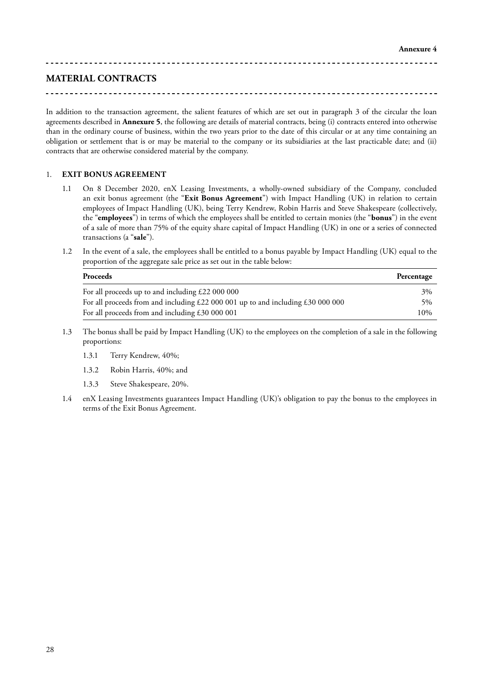# **MATERIAL CONTRACTS**

In addition to the transaction agreement, the salient features of which are set out in paragraph 3 of the circular the loan agreements described in **Annexure 5**, the following are details of material contracts, being (i) contracts entered into otherwise than in the ordinary course of business, within the two years prior to the date of this circular or at any time containing an obligation or settlement that is or may be material to the company or its subsidiaries at the last practicable date; and (ii) contracts that are otherwise considered material by the company.

### 1. **EXIT BONUS AGREEMENT**

- 1.1 On 8 December 2020, enX Leasing Investments, a wholly-owned subsidiary of the Company, concluded an exit bonus agreement (the "**Exit Bonus Agreement**") with Impact Handling (UK) in relation to certain employees of Impact Handling (UK), being Terry Kendrew, Robin Harris and Steve Shakespeare (collectively, the "**employees**") in terms of which the employees shall be entitled to certain monies (the "**bonus**") in the event of a sale of more than 75% of the equity share capital of Impact Handling (UK) in one or a series of connected transactions (a "**sale**").
- 1.2 In the event of a sale, the employees shall be entitled to a bonus payable by Impact Handling (UK) equal to the proportion of the aggregate sale price as set out in the table below:

| Proceeds                                                                        | Percentage |
|---------------------------------------------------------------------------------|------------|
| For all proceeds up to and including £22 000 000                                | 3%         |
| For all proceeds from and including £22 000 001 up to and including £30 000 000 | 5%         |
| For all proceeds from and including $£30000001$                                 | 10%        |

- 1.3 The bonus shall be paid by Impact Handling (UK) to the employees on the completion of a sale in the following proportions:
	- 1.3.1 Terry Kendrew, 40%;
	- 1.3.2 Robin Harris, 40%; and
	- 1.3.3 Steve Shakespeare, 20%.
- 1.4 enX Leasing Investments guarantees Impact Handling (UK)'s obligation to pay the bonus to the employees in terms of the Exit Bonus Agreement.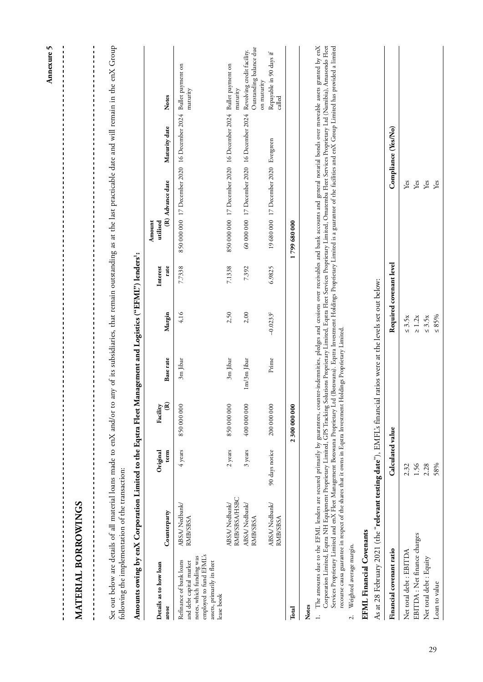|                                                                                       |                                                                                              |                                                                  |                                    | Calculated value   |                                                                                                                                                | Financial covenant ratio                                                                                                                                                                                                                                                                                                                                                                                                                                                                                                                                                                                                                                                                                                                                                                                                           |
|---------------------------------------------------------------------------------------|----------------------------------------------------------------------------------------------|------------------------------------------------------------------|------------------------------------|--------------------|------------------------------------------------------------------------------------------------------------------------------------------------|------------------------------------------------------------------------------------------------------------------------------------------------------------------------------------------------------------------------------------------------------------------------------------------------------------------------------------------------------------------------------------------------------------------------------------------------------------------------------------------------------------------------------------------------------------------------------------------------------------------------------------------------------------------------------------------------------------------------------------------------------------------------------------------------------------------------------------|
|                                                                                       |                                                                                              |                                                                  |                                    |                    |                                                                                                                                                |                                                                                                                                                                                                                                                                                                                                                                                                                                                                                                                                                                                                                                                                                                                                                                                                                                    |
|                                                                                       |                                                                                              |                                                                  |                                    |                    |                                                                                                                                                | <b>EFML Financial Covenants</b>                                                                                                                                                                                                                                                                                                                                                                                                                                                                                                                                                                                                                                                                                                                                                                                                    |
|                                                                                       |                                                                                              |                                                                  |                                    |                    |                                                                                                                                                | Weighted average margin.<br>$\overline{c}$                                                                                                                                                                                                                                                                                                                                                                                                                                                                                                                                                                                                                                                                                                                                                                                         |
|                                                                                       |                                                                                              |                                                                  |                                    |                    |                                                                                                                                                |                                                                                                                                                                                                                                                                                                                                                                                                                                                                                                                                                                                                                                                                                                                                                                                                                                    |
|                                                                                       |                                                                                              |                                                                  |                                    |                    |                                                                                                                                                | Notes<br>$\overline{a}$                                                                                                                                                                                                                                                                                                                                                                                                                                                                                                                                                                                                                                                                                                                                                                                                            |
| 799 680 000                                                                           |                                                                                              |                                                                  | $\mathbf{Q}$                       |                    |                                                                                                                                                | Total                                                                                                                                                                                                                                                                                                                                                                                                                                                                                                                                                                                                                                                                                                                                                                                                                              |
|                                                                                       |                                                                                              |                                                                  |                                    |                    |                                                                                                                                                |                                                                                                                                                                                                                                                                                                                                                                                                                                                                                                                                                                                                                                                                                                                                                                                                                                    |
|                                                                                       |                                                                                              |                                                                  |                                    |                    | <b>RMB/SBSA</b>                                                                                                                                |                                                                                                                                                                                                                                                                                                                                                                                                                                                                                                                                                                                                                                                                                                                                                                                                                                    |
|                                                                                       |                                                                                              |                                                                  | 850 000 000<br>400 000 000         |                    |                                                                                                                                                |                                                                                                                                                                                                                                                                                                                                                                                                                                                                                                                                                                                                                                                                                                                                                                                                                                    |
|                                                                                       |                                                                                              |                                                                  |                                    | 2 years<br>3 years | <b>RMB/SBSA/HSBC</b><br>ABSA/Nedbank/                                                                                                          |                                                                                                                                                                                                                                                                                                                                                                                                                                                                                                                                                                                                                                                                                                                                                                                                                                    |
| 850 000 000 17 December 2020 16 December 2024<br>7.7338                               | 4,16                                                                                         | 3m Jibar                                                         |                                    |                    | ABSA/ Nedbank/                                                                                                                                 | employed to fund EFML's<br>assets, primarily its fleet<br>lease book                                                                                                                                                                                                                                                                                                                                                                                                                                                                                                                                                                                                                                                                                                                                                               |
|                                                                                       |                                                                                              | Base rate                                                        | $\circ$<br>850 000 00              | 4 years            | ABSA/Nedbank/<br><b>RMB/SBSA</b>                                                                                                               | notes, which funding was<br>Refinance of bank loans<br>and debt capital market                                                                                                                                                                                                                                                                                                                                                                                                                                                                                                                                                                                                                                                                                                                                                     |
| Interest                                                                              | Margin                                                                                       |                                                                  | Facility<br>(R)                    | Original<br>term   | Counterparty                                                                                                                                   | Details as to how loan<br>arose                                                                                                                                                                                                                                                                                                                                                                                                                                                                                                                                                                                                                                                                                                                                                                                                    |
|                                                                                       |                                                                                              |                                                                  |                                    |                    |                                                                                                                                                |                                                                                                                                                                                                                                                                                                                                                                                                                                                                                                                                                                                                                                                                                                                                                                                                                                    |
|                                                                                       | Management and Logistics ("EFMI") lenders1:                                                  |                                                                  |                                    |                    |                                                                                                                                                | Amounts owing by enX Corporation Limited to the Eqstra Fleet<br>following the implementation of the transaction:                                                                                                                                                                                                                                                                                                                                                                                                                                                                                                                                                                                                                                                                                                                   |
| 60 000 000 17 December 2020 16 December 2024<br>19 680 000 17 December 2020 Evergreen | 850 000 000 17 December 2020 16 December 2024 Bullet payment on<br>7.1338<br>6.9825<br>7.392 | Required covenant level<br>rate<br>2,50<br>2,00<br>$-0.0233^{2}$ | 3m Jibar<br>$Im/3m$ Jibar<br>Prime | 200 000 000        | As at 28 February 2021 (the "relevant testing date"), EMFL's financial ratios were at the levels set out below:<br>230000000<br>90 days notice | Corporation Limited, Equra NH Equipment Proprietary Limited, GPS Tracking Solutions Proprietary Limited, Eqstra Pleet Services Proprietary Limited, Omatemba Fleet Services Proprietary Ltd (Namibia), Amasondo Fleet<br>The amounts due to the EFML lenders are secured primarily by guarantees, counter-indemnities, pledges and cessions over receivables and bank accounts and general notarial bonds over moveable assets granted by enX<br>Services Proprietary Limited and enX Fleet Management Botswana Proprietary Ltd (Botswana). Eqstra Investment Holdings Proprietary Limited is a guarantor of the facilities and enX Group Limited has provided a limited<br>recourse causa guarantee in respect of the shares that it owns in Eqstra Investment Holdings Proprietary Limited.<br>ABSA/ Nedbank/<br><b>RMB/SBSA</b> |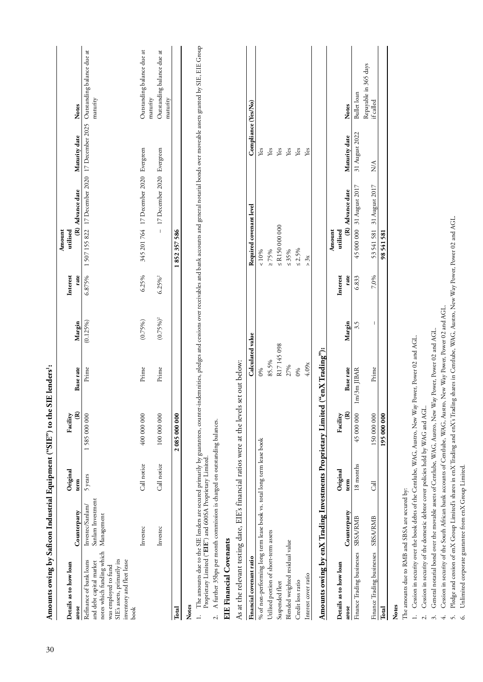| Amounts owing by Saficon Industrial Equipment ("SIE") to the SIE lenders':                                                                       |                                  |                 |                                      |                                    |                    |                |                                                                    |                     |                                        |
|--------------------------------------------------------------------------------------------------------------------------------------------------|----------------------------------|-----------------|--------------------------------------|------------------------------------|--------------------|----------------|--------------------------------------------------------------------|---------------------|----------------------------------------|
| Details as to how loan                                                                                                                           |                                  | Original        | Facility                             |                                    |                    | Interest       | Amount<br>utilised                                                 |                     |                                        |
| Refinance of bank loans<br>arose                                                                                                                 | Investec/Sanlam/<br>Counterparty | 5 years<br>term | $\widehat{\mathbf{g}}$<br>1585000000 | Prime<br>Base rate                 | (0.125%)<br>Margin | 6.875%<br>rate | 1507 155 822 17 December 2020 17 December 2025<br>(R) Advance date | Maturity date       | Outstanding balance due at<br>Notes    |
| notes which funding which<br>SIE's assets, primarily its<br>inventory and fleet lease<br>and debt capital market<br>was employed to fund<br>book | Sanlam Investment<br>Management  |                 |                                      |                                    |                    |                |                                                                    |                     | maturity                               |
|                                                                                                                                                  | Investec                         | Call notice     | 400 000 000                          | Prime                              | $(0.75\%)$         | 6.25%          | 345 201 764 17 December 2020 Evergreen                             |                     | Outstanding balance due at<br>maturity |
|                                                                                                                                                  | Investec                         | Call notice     | 100 000 000                          | Prime                              | $(0.75\%)^2$       | $6.25\%^{2}$   | - 17 December 2020 Evergreen                                       |                     | Outstanding balance due at<br>maturity |
| Total                                                                                                                                            |                                  |                 | 2 085 000 000                        |                                    |                    |                | 852357586                                                          |                     |                                        |
| As at the relevant testing date, EIE's financial ratios were at the levels<br><b>EIE</b> Financial Covenants<br>Financial covenant ratio         |                                  |                 |                                      | Calculated value<br>set out below: |                    |                | Required covenant level                                            | Compliance (Yes/No) |                                        |
| % of non-performing long term lease book vs. total long term lease book                                                                          |                                  |                 |                                      | 0%                                 |                    |                | $<10\%$                                                            | Yes                 |                                        |
| Utilised portion of short-term assets                                                                                                            |                                  |                 |                                      | 85.5%                              |                    |                | $\geq 75\%$                                                        | Yes                 |                                        |
| Suspended fleet                                                                                                                                  |                                  |                 |                                      | R17 145 098                        |                    |                | $\leq$ R150 000 000                                                | Yes                 |                                        |
| Blended weighted residual value                                                                                                                  |                                  |                 |                                      | 27%                                |                    |                | $\leq 35\%$                                                        | Yes                 |                                        |
| Credit loss ratio                                                                                                                                |                                  |                 |                                      | 0%                                 |                    |                | $\leq 2.5\%$                                                       | Yes                 |                                        |
| Interest cover ratio                                                                                                                             |                                  |                 |                                      | 4.09x                              |                    |                | $>$ $\frac{3x}{2}$                                                 | Yes                 |                                        |
| Amounts owing by enX Trading Investments Proprietary Limited ("enX Trading"):                                                                    |                                  |                 |                                      |                                    |                    |                | Amount                                                             |                     |                                        |
| Details as to how loan                                                                                                                           |                                  | Original        | Facility                             |                                    |                    | Interest       | utilised                                                           |                     |                                        |
| arose                                                                                                                                            | Counterparty                     | term            | E                                    | Base rate                          | Margin             | rate           | (R) Advance date                                                   | Maturity date       | Notes                                  |

Pledge and cession of enX Group Limited's shares in enX Trading and enX's Trading shares in Centlube, WAG, Austro, New Way Power, Power 02 and AGL. 5. Pledge and cession of enX Group Limited's shares in enX Trading and enX's Trading shares in Centlube, WAG, Austro, New Way Power, Power 02 and AGL. 4. Cession in security of the South African bank accounts of Centlube, WAG, Austro, New Way Power, Power 02 and AGL. 4. Cession in security of the South African bank accounts of Centlube, WAG, Austro, New Way Power, Power 02 and AGL. 6. Unlimited corporate guarantee from enX Group Limited. 6. Unlimited corporate guarantee from enX Group Limited.

**arose Counterparty**

arose

Finance Trading businesses SBSA/RMB

Counterparty

**(R) Base rate Margin**

Margin 3.5

Finance Trading businesses SBSA/RMB 18 months 45 000 000 1m/3m JIBAR 3.5 6.833 45 000 000 31 August 2017 31 August 2022 Bullet loan

45 000 000 1m/3m JIBAR

18 months

Finance Trading businesses SBSA/RMB Call 150 000 000 Prime – 7,0% 53 541 581 31 August 2017 N/A

 $\overline{d}$ 

Finance Trading businesses SBSA/RMB

Prime

**Notes**

Total

The amounts due to RMB and SBSA are secured by:

The amounts due to RMB and SBSA are secured by:

1. Cession in security over the book debts of the Centlube, WAG, Austro, New Way Power, Power 02 and AGL.

1. Cession in security over the book debts of the Centlube, WAG, Austro, New Way Power, Power 02 and AGL.

2. Cession in security of the domestic debtor cover policies held by WAG and AGL.

2. Cession in security of the domestic debtor cover policies held by WAG and AGL.

3. General notarial bond over the movable assets of Centlube, WAG, Austro, New Way Power, Power 02 and AGL.

 $\ddot{\delta}$ .

General notarial bond over the movable assets of Centlube, WAG, Austro, New Way Power, Power 02 and AGL.

6.833

**(R) Advance date Maturity date Notes**

(R) Advance date

Repayable in 365 days Repayable in 365 days<br>if called

Bullet loan Notes

31 August 2022 Maturity date

N/A

7,0%

 $\overline{1}$ 

98 541 581

5.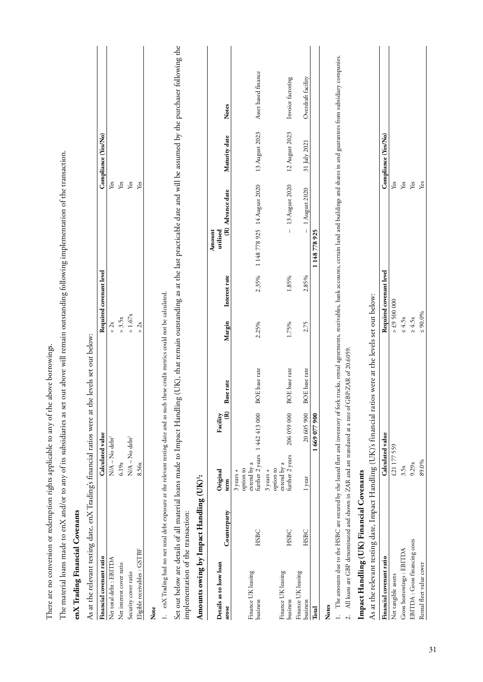| As at the relevant testing date, enX Trading's financial ratios were at the levels set out below:            |                                                            |                               |                                               |               |                         |                                                                                                                                                                                                                            |                     |                     |
|--------------------------------------------------------------------------------------------------------------|------------------------------------------------------------|-------------------------------|-----------------------------------------------|---------------|-------------------------|----------------------------------------------------------------------------------------------------------------------------------------------------------------------------------------------------------------------------|---------------------|---------------------|
| Financial covenant ratio                                                                                     | Calculated value                                           |                               |                                               |               | Required covenant level |                                                                                                                                                                                                                            | Compliance (Yes/No) |                     |
| Net total debt: EBITDA                                                                                       | $N/A - No$ debt <sup>1</sup>                               |                               |                                               | < 2x          |                         | Yes                                                                                                                                                                                                                        |                     |                     |
| Net interest cover ratio                                                                                     | 6.19x                                                      |                               |                                               | $>$ 3.5 $x$   |                         | Yes                                                                                                                                                                                                                        |                     |                     |
| Security cover ratio                                                                                         | $N/A - No$ debt <sup>1</sup>                               |                               |                                               | $>1.67x$      |                         | Yes                                                                                                                                                                                                                        |                     |                     |
| Eligible receivables: GSTBF                                                                                  | 8.56x                                                      |                               |                                               | $> 2x$        |                         | Yes                                                                                                                                                                                                                        |                     |                     |
| Note                                                                                                         |                                                            |                               |                                               |               |                         |                                                                                                                                                                                                                            |                     |                     |
| enX Trading had no net total debt exposure at the relevant testing date and as such                          |                                                            |                               | these credit metrics could not be calculated. |               |                         |                                                                                                                                                                                                                            |                     |                     |
| Set out below are details of all material loans made to Impact Handlin<br>implementation of the transaction: |                                                            |                               |                                               |               |                         | ag (UK), that remain outstanding as at the last practicable date and will be assumed by the purchaser following the                                                                                                        |                     |                     |
| Amounts owing by Impact Handling (UK)!:                                                                      |                                                            |                               |                                               |               |                         |                                                                                                                                                                                                                            |                     |                     |
|                                                                                                              |                                                            |                               |                                               |               |                         | Amount                                                                                                                                                                                                                     |                     |                     |
| Details as to how loan<br>arose                                                                              | Original<br>term<br>Counterparty                           | g<br>Facility                 | Base rate                                     | Margin        | Interest rate           | (R) Advance date<br>utilised                                                                                                                                                                                               | Maturity date       | Notes               |
| HSBC<br>Finance UK leasing<br>business                                                                       | extend by a<br>option to<br>$3$ years +                    | further 2 years 1 442 413 000 | <b>BOE</b> base rate                          | 2.25%         | 2.35%                   | 1148778925 14 August 2020                                                                                                                                                                                                  | 13 August 2023      | Asset based finance |
| HSBC<br>Finance UK leasing<br>business                                                                       | further 2 years<br>extend by a<br>option to<br>$3$ years + | 206 059 000                   | <b>BOE</b> base rate                          | 1.75%         | 1.85%                   | 13 August 2020<br>$\mathbf{I}$                                                                                                                                                                                             | 12 August 2023      | Invoice factoring   |
| HSBC<br>Finance UK leasing<br>business                                                                       | 1 year                                                     | 20 605 900                    | <b>BOE</b> base rate                          | 2.75          | 2.85%                   | 1 August 2020                                                                                                                                                                                                              | 31 July 2021        | Overdraft facility  |
| Total                                                                                                        |                                                            | 1669 077 900                  |                                               |               |                         | 1148778925                                                                                                                                                                                                                 |                     |                     |
| Notes                                                                                                        |                                                            |                               |                                               |               |                         |                                                                                                                                                                                                                            |                     |                     |
|                                                                                                              |                                                            |                               |                                               |               |                         | The amounts due to the HSBC are secured by the leased fleet and inventory of fork trucks, rental agreements, receivables, bank accounts, certain land and buildings and shares in and guarantes from subsidiary companies. |                     |                     |
| All loans are GBP denominated and shown in ZAR and are translated at a rate of GBP:ZAR of 20.6059.           |                                                            |                               |                                               |               |                         |                                                                                                                                                                                                                            |                     |                     |
| Impact Handling (UK) Financial Covenants                                                                     |                                                            |                               |                                               |               |                         |                                                                                                                                                                                                                            |                     |                     |
| As at the relevant testing date, Impact Handling (UK)'s financial ratios were at the levels set out below:   |                                                            |                               |                                               |               |                         |                                                                                                                                                                                                                            |                     |                     |
| Financial covenant ratio                                                                                     | Calculated value                                           |                               |                                               |               | Required covenant level |                                                                                                                                                                                                                            | Compliance (Yes/No) |                     |
| Net tangible assets                                                                                          | £21 177 559                                                |                               |                                               | > £9500000    |                         | Yes                                                                                                                                                                                                                        |                     |                     |
| Gross borrowings: EBITDA                                                                                     | 3.5x                                                       |                               |                                               | $\leq 4.5x$   |                         | ${\rm Yes}$                                                                                                                                                                                                                |                     |                     |
| EBITDA: Gross financing costs                                                                                | 9.29x                                                      |                               |                                               | $\geq 4.5x$   |                         | $\ensuremath{\mathrm{Yes}}$                                                                                                                                                                                                |                     |                     |
| Rental fleet value cover                                                                                     | 89.0%                                                      |                               |                                               | $\leq 90.0\%$ |                         | Yes                                                                                                                                                                                                                        |                     |                     |

**enX Trading Financial Covenants**

enX Trading Financial Covenants

There are no conversion or redemption rights applicable to any of the above borrowings.

There are no conversion or redemption rights applicable to any of the above borrowings.

The material loans made to enX and/or to any of its subsidiaries as set out above will remain outstanding following implementation of the transaction.

The material loans made to enX and/or to any of its subsidiaries as set out above will remain outstanding following implementation of the transaction.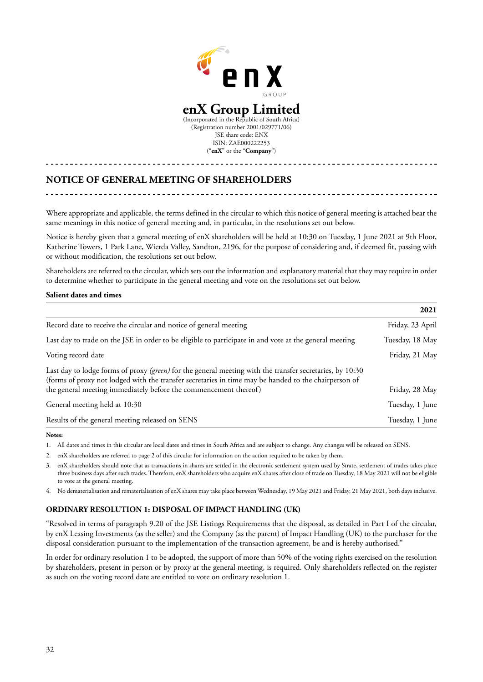

# **enX Group Limited**

(Incorporated in the Republic of South Africa) (Registration number 2001/029771/06) JSE share code: ENX ISIN: ZAE000222253 ("**enX**" or the "**Company**")

# **NOTICE OF GENERAL MEETING OF SHAREHOLDERS**

Where appropriate and applicable, the terms defined in the circular to which this notice of general meeting is attached bear the same meanings in this notice of general meeting and, in particular, in the resolutions set out below.

Notice is hereby given that a general meeting of enX shareholders will be held at 10:30 on Tuesday, 1 June 2021 at 9th Floor, Katherine Towers, 1 Park Lane, Wierda Valley, Sandton, 2196, for the purpose of considering and, if deemed fit, passing with or without modification, the resolutions set out below.

Shareholders are referred to the circular, which sets out the information and explanatory material that they may require in order to determine whether to participate in the general meeting and vote on the resolutions set out below.

### **Salient dates and times**

|                                                                                                                                                                                                                                                                                      | 2021             |
|--------------------------------------------------------------------------------------------------------------------------------------------------------------------------------------------------------------------------------------------------------------------------------------|------------------|
| Record date to receive the circular and notice of general meeting                                                                                                                                                                                                                    | Friday, 23 April |
| Last day to trade on the JSE in order to be eligible to participate in and vote at the general meeting                                                                                                                                                                               | Tuesday, 18 May  |
| Voting record date                                                                                                                                                                                                                                                                   | Friday, 21 May   |
| Last day to lodge forms of proxy (green) for the general meeting with the transfer secretaries, by 10:30<br>(forms of proxy not lodged with the transfer secretaries in time may be handed to the chairperson of<br>the general meeting immediately before the commencement thereof) | Friday, 28 May   |
| General meeting held at 10:30                                                                                                                                                                                                                                                        | Tuesday, 1 June  |
| Results of the general meeting released on SENS                                                                                                                                                                                                                                      | Tuesday, 1 June  |

### **Notes:**

- 1. All dates and times in this circular are local dates and times in South Africa and are subject to change. Any changes will be released on SENS.
- 2. enX shareholders are referred to page 2 of this circular for information on the action required to be taken by them.
- 3. enX shareholders should note that as transactions in shares are settled in the electronic settlement system used by Strate, settlement of trades takes place three business days after such trades. Therefore, enX shareholders who acquire enX shares after close of trade on Tuesday, 18 May 2021 will not be eligible to vote at the general meeting.
- 4. No dematerialisation and rematerialisation of enX shares may take place between Wednesday, 19 May 2021 and Friday, 21 May 2021, both days inclusive.

# **ORDINARY RESOLUTION 1: DISPOSAL OF IMPACT HANDLING (UK)**

"Resolved in terms of paragraph 9.20 of the JSE Listings Requirements that the disposal, as detailed in Part I of the circular, by enX Leasing Investments (as the seller) and the Company (as the parent) of Impact Handling (UK) to the purchaser for the disposal consideration pursuant to the implementation of the transaction agreement, be and is hereby authorised."

In order for ordinary resolution 1 to be adopted, the support of more than 50% of the voting rights exercised on the resolution by shareholders, present in person or by proxy at the general meeting, is required. Only shareholders reflected on the register as such on the voting record date are entitled to vote on ordinary resolution 1.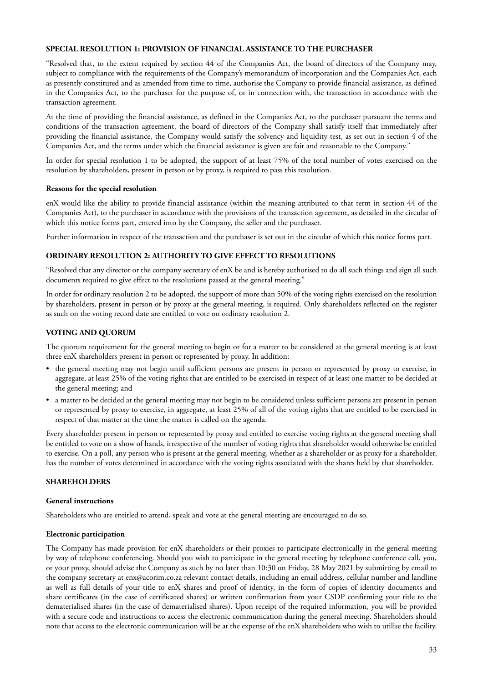### **SPECIAL RESOLUTION 1: PROVISION OF FINANCIAL ASSISTANCE TO THE PURCHASER**

"Resolved that, to the extent required by section 44 of the Companies Act, the board of directors of the Company may, subject to compliance with the requirements of the Company's memorandum of incorporation and the Companies Act, each as presently constituted and as amended from time to time, authorise the Company to provide financial assistance, as defined in the Companies Act, to the purchaser for the purpose of, or in connection with, the transaction in accordance with the transaction agreement.

At the time of providing the financial assistance, as defined in the Companies Act, to the purchaser pursuant the terms and conditions of the transaction agreement, the board of directors of the Company shall satisfy itself that immediately after providing the financial assistance, the Company would satisfy the solvency and liquidity test, as set out in section 4 of the Companies Act, and the terms under which the financial assistance is given are fair and reasonable to the Company."

In order for special resolution 1 to be adopted, the support of at least 75% of the total number of votes exercised on the resolution by shareholders, present in person or by proxy, is required to pass this resolution.

### **Reasons for the special resolution**

enX would like the ability to provide financial assistance (within the meaning attributed to that term in section 44 of the Companies Act), to the purchaser in accordance with the provisions of the transaction agreement, as detailed in the circular of which this notice forms part, entered into by the Company, the seller and the purchaser.

Further information in respect of the transaction and the purchaser is set out in the circular of which this notice forms part.

# **ORDINARY RESOLUTION 2: AUTHORITY TO GIVE EFFECT TO RESOLUTIONS**

"Resolved that any director or the company secretary of enX be and is hereby authorised to do all such things and sign all such documents required to give effect to the resolutions passed at the general meeting."

In order for ordinary resolution 2 to be adopted, the support of more than 50% of the voting rights exercised on the resolution by shareholders, present in person or by proxy at the general meeting, is required. Only shareholders reflected on the register as such on the voting record date are entitled to vote on ordinary resolution 2.

# **VOTING AND QUORUM**

The quorum requirement for the general meeting to begin or for a matter to be considered at the general meeting is at least three enX shareholders present in person or represented by proxy. In addition:

- the general meeting may not begin until sufficient persons are present in person or represented by proxy to exercise, in aggregate, at least 25% of the voting rights that are entitled to be exercised in respect of at least one matter to be decided at the general meeting; and
- a matter to be decided at the general meeting may not begin to be considered unless sufficient persons are present in person or represented by proxy to exercise, in aggregate, at least 25% of all of the voting rights that are entitled to be exercised in respect of that matter at the time the matter is called on the agenda.

Every shareholder present in person or represented by proxy and entitled to exercise voting rights at the general meeting shall be entitled to vote on a show of hands, irrespective of the number of voting rights that shareholder would otherwise be entitled to exercise. On a poll, any person who is present at the general meeting, whether as a shareholder or as proxy for a shareholder, has the number of votes determined in accordance with the voting rights associated with the shares held by that shareholder.

# **SHAREHOLDERS**

### **General instructions**

Shareholders who are entitled to attend, speak and vote at the general meeting are encouraged to do so.

### **Electronic participation**

The Company has made provision for enX shareholders or their proxies to participate electronically in the general meeting by way of telephone conferencing. Should you wish to participate in the general meeting by telephone conference call, you, or your proxy, should advise the Company as such by no later than 10:30 on Friday, 28 May 2021 by submitting by email to the company secretary at enx@acorim.co.za relevant contact details, including an email address, cellular number and landline as well as full details of your title to enX shares and proof of identity, in the form of copies of identity documents and share certificates (in the case of certificated shares) or written confirmation from your CSDP confirming your title to the dematerialised shares (in the case of dematerialised shares). Upon receipt of the required information, you will be provided with a secure code and instructions to access the electronic communication during the general meeting. Shareholders should note that access to the electronic communication will be at the expense of the enX shareholders who wish to utilise the facility.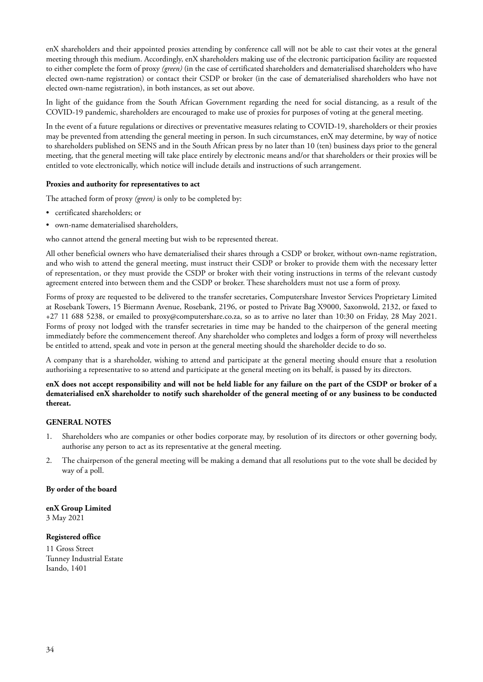enX shareholders and their appointed proxies attending by conference call will not be able to cast their votes at the general meeting through this medium. Accordingly, enX shareholders making use of the electronic participation facility are requested to either complete the form of proxy *(green)* (in the case of certificated shareholders and dematerialised shareholders who have elected own-name registration) or contact their CSDP or broker (in the case of dematerialised shareholders who have not elected own-name registration), in both instances, as set out above.

In light of the guidance from the South African Government regarding the need for social distancing, as a result of the COVID-19 pandemic, shareholders are encouraged to make use of proxies for purposes of voting at the general meeting.

In the event of a future regulations or directives or preventative measures relating to COVID-19, shareholders or their proxies may be prevented from attending the general meeting in person. In such circumstances, enX may determine, by way of notice to shareholders published on SENS and in the South African press by no later than 10 (ten) business days prior to the general meeting, that the general meeting will take place entirely by electronic means and/or that shareholders or their proxies will be entitled to vote electronically, which notice will include details and instructions of such arrangement.

### **Proxies and authority for representatives to act**

The attached form of proxy *(green)* is only to be completed by:

- certificated shareholders; or
- own-name dematerialised shareholders,

who cannot attend the general meeting but wish to be represented thereat.

All other beneficial owners who have dematerialised their shares through a CSDP or broker, without own-name registration, and who wish to attend the general meeting, must instruct their CSDP or broker to provide them with the necessary letter of representation, or they must provide the CSDP or broker with their voting instructions in terms of the relevant custody agreement entered into between them and the CSDP or broker. These shareholders must not use a form of proxy.

Forms of proxy are requested to be delivered to the transfer secretaries, Computershare Investor Services Proprietary Limited at Rosebank Towers, 15 Biermann Avenue, Rosebank, 2196, or posted to Private Bag X9000, Saxonwold, 2132, or faxed to +27 11 688 5238, or emailed to proxy@computershare.co.za, so as to arrive no later than 10:30 on Friday, 28 May 2021. Forms of proxy not lodged with the transfer secretaries in time may be handed to the chairperson of the general meeting immediately before the commencement thereof. Any shareholder who completes and lodges a form of proxy will nevertheless be entitled to attend, speak and vote in person at the general meeting should the shareholder decide to do so.

A company that is a shareholder, wishing to attend and participate at the general meeting should ensure that a resolution authorising a representative to so attend and participate at the general meeting on its behalf, is passed by its directors.

### **enX does not accept responsibility and will not be held liable for any failure on the part of the CSDP or broker of a dematerialised enX shareholder to notify such shareholder of the general meeting of or any business to be conducted thereat.**

# **GENERAL NOTES**

- 1. Shareholders who are companies or other bodies corporate may, by resolution of its directors or other governing body, authorise any person to act as its representative at the general meeting.
- 2. The chairperson of the general meeting will be making a demand that all resolutions put to the vote shall be decided by way of a poll.

### **By order of the board**

**enX Group Limited** 3 May 2021

### **Registered office**

11 Gross Street Tunney Industrial Estate Isando, 1401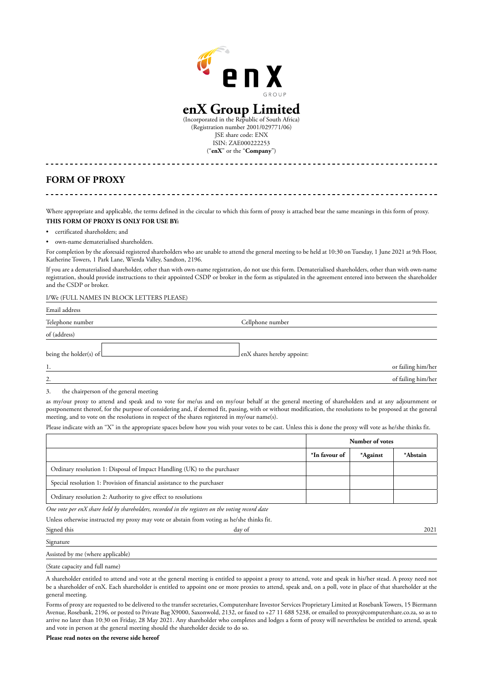

# **enX Group Limited**

(Incorporated in the Republic of South Africa) (Registration number 2001/029771/06) JSE share code: ENX ISIN: ZAE000222253 ("**enX**" or the "**Company**")

# **FORM OF PROXY**

Where appropriate and applicable, the terms defined in the circular to which this form of proxy is attached bear the same meanings in this form of proxy. **THIS FORM OF PROXY IS ONLY FOR USE BY:**

- certificated shareholders; and
- own-name dematerialised shareholders.

For completion by the aforesaid registered shareholders who are unable to attend the general meeting to be held at 10:30 on Tuesday, 1 June 2021 at 9th Floor, Katherine Towers, 1 Park Lane, Wierda Valley, Sandton, 2196.

If you are a dematerialised shareholder, other than with own-name registration, do not use this form. Dematerialised shareholders, other than with own-name registration, should provide instructions to their appointed CSDP or broker in the form as stipulated in the agreement entered into between the shareholder and the CSDP or broker.

### I/We (FULL NAMES IN BLOCK LETTERS PLEASE)

| Email address          |                            |
|------------------------|----------------------------|
| Telephone number       | Cellphone number           |
| of (address)           |                            |
| being the holder(s) of | enX shares hereby appoint: |
| 1.                     | or failing him/her         |
| 2.                     | of failing him/her         |

3. the chairperson of the general meeting

as my/our proxy to attend and speak and to vote for me/us and on my/our behalf at the general meeting of shareholders and at any adjournment or postponement thereof, for the purpose of considering and, if deemed fit, passing, with or without modification, the resolutions to be proposed at the general meeting, and to vote on the resolutions in respect of the shares registered in my/our name(s).

Please indicate with an "X" in the appropriate spaces below how you wish your votes to be cast. Unless this is done the proxy will vote as he/she thinks fit.

|                                                                          |               | Number of votes |          |
|--------------------------------------------------------------------------|---------------|-----------------|----------|
|                                                                          | *In favour of | *Against        | *Abstain |
| Ordinary resolution 1: Disposal of Impact Handling (UK) to the purchaser |               |                 |          |
| Special resolution 1: Provision of financial assistance to the purchaser |               |                 |          |
| Ordinary resolution 2: Authority to give effect to resolutions           |               |                 |          |
| $\circ$ $\cdots$ $\cdots$ $\cdots$ $\cdots$ $\cdots$ $\cdots$ $\cdots$   |               |                 |          |

*One vote per enX share held by shareholders, recorded in the registers on the voting record date*

Unless otherwise instructed my proxy may vote or abstain from voting as he/she thinks fit.

| Signed this                       | day of | 2021 |
|-----------------------------------|--------|------|
| Signature                         |        |      |
| Assisted by me (where applicable) |        |      |
|                                   |        |      |

(State capacity and full name)

A shareholder entitled to attend and vote at the general meeting is entitled to appoint a proxy to attend, vote and speak in his/her stead. A proxy need not be a shareholder of enX. Each shareholder is entitled to appoint one or more proxies to attend, speak and, on a poll, vote in place of that shareholder at the general meeting.

Forms of proxy are requested to be delivered to the transfer secretaries, Computershare Investor Services Proprietary Limited at Rosebank Towers, 15 Biermann Avenue, Rosebank, 2196, or posted to Private Bag X9000, Saxonwold, 2132, or faxed to +27 11 688 5238, or emailed to proxy@computershare.co.za, so as to arrive no later than 10:30 on Friday, 28 May 2021. Any shareholder who completes and lodges a form of proxy will nevertheless be entitled to attend, speak and vote in person at the general meeting should the shareholder decide to do so.

### **Please read notes on the reverse side hereof**